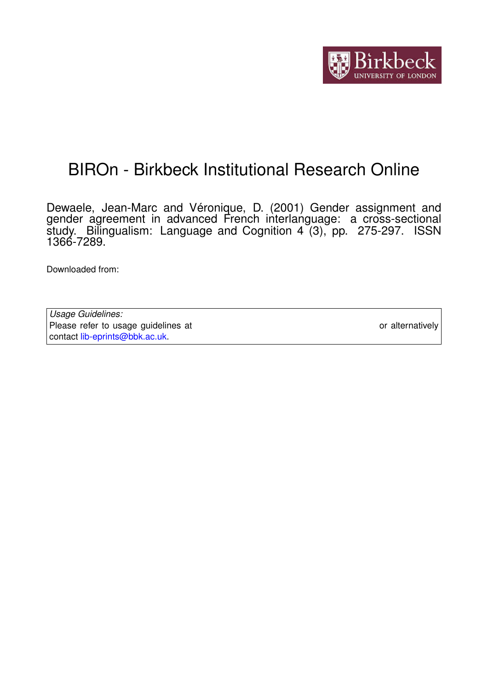

# BIROn - Birkbeck Institutional Research Online

Dewaele, Jean-Marc and Véronique, D. (2001) Gender assignment and gender agreement in advanced French interlanguage: a cross-sectional study. Bilingualism: Language and Cognition 4 (3), pp. 275-297. ISSN 1366-7289.

Downloaded from: <https://eprints.bbk.ac.uk/id/eprint/445/>

*Usage Guidelines:* Please refer to usage guidelines at <https://eprints.bbk.ac.uk/policies.html> or alternatively contact [lib-eprints@bbk.ac.uk.](mailto:lib-eprints@bbk.ac.uk)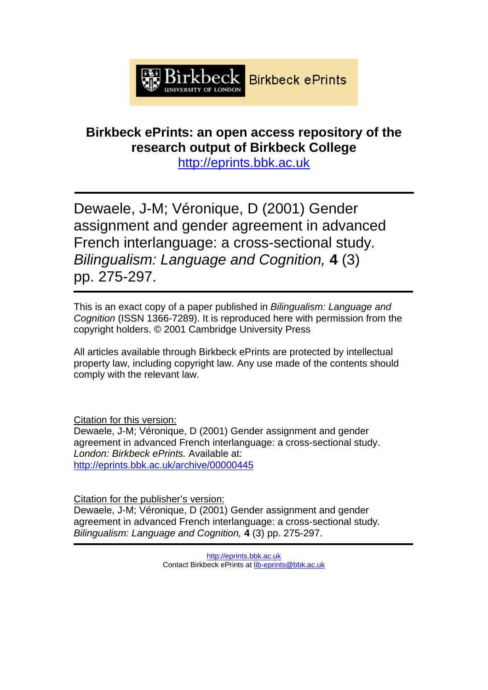

## **Birkbeck ePrints: an open access repository of the research output of Birkbeck College**

http://eprints.bbk.ac.uk

Dewaele, J-M; Véronique, D (2001) Gender assignment and gender agreement in advanced French interlanguage: a cross-sectional study*. Bilingualism: Language and Cognition,* **4** (3) pp. 275-297.

This is an exact copy of a paper published in *Bilingualism: Language and Cognition* (ISSN 1366-7289). It is reproduced here with permission from the copyright holders. © 2001 Cambridge University Press

All articles available through Birkbeck ePrints are protected by intellectual property law, including copyright law. Any use made of the contents should comply with the relevant law.

Citation for this version:

Dewaele, J-M; Véronique, D (2001) Gender assignment and gender agreement in advanced French interlanguage: a cross-sectional study. *London: Birkbeck ePrints.* Available at: http://eprints.bbk.ac.uk/archive/00000445

Citation for the publisher's version:

Dewaele, J-M; Véronique, D (2001) Gender assignment and gender agreement in advanced French interlanguage: a cross-sectional study*. Bilingualism: Language and Cognition,* **4** (3) pp. 275-297.

> http://eprints.bbk.ac.uk Contact Birkbeck ePrints at lib-eprints@bbk.ac.uk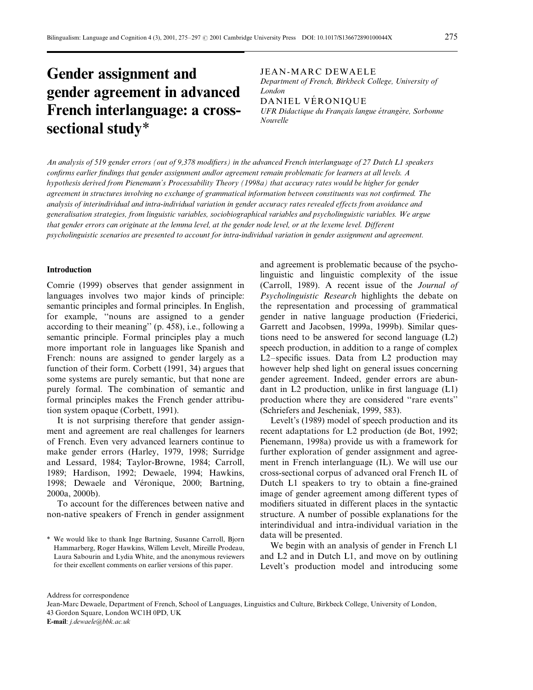## Gender assignment and gender agreement in advanced French interlanguage: a crosssectional study\*

JEAN-MARC DEWAELE

Department of French, Birkbeck College, University of London

DANIEL VERONIQUE

UFR Didactique du Français langue étrangère, Sorbonne Nouvelle

An analysis of 519 gender errors (out of 9,378 modifiers) in the advanced French interlanguage of 27 Dutch L1 speakers confirms earlier findings that gender assignment and/or agreement remain problematic for learners at all levels. A hypothesis derived from Pienemann's Processability Theory (1998a) that accuracy rates would be higher for gender agreement in structures involving no exchange of grammatical information between constituents was not confirmed. The analysis of interindividual and intra-individual variation in gender accuracy rates revealed effects from avoidance and generalisation strategies, from linguistic variables, sociobiographical variables and psycholinguistic variables. We argue that gender errors can originate at the lemma level, at the gender node level, or at the lexeme level. Different psycholinguistic scenarios are presented to account for intra-individual variation in gender assignment and agreement.

#### Introduction

Comrie (1999) observes that gender assignment in languages involves two major kinds of principle: semantic principles and formal principles. In English, for example, "nouns are assigned to a gender according to their meaning'' (p. 458), i.e., following a semantic principle. Formal principles play a much more important role in languages like Spanish and French: nouns are assigned to gender largely as a function of their form. Corbett (1991, 34) argues that some systems are purely semantic, but that none are purely formal. The combination of semantic and formal principles makes the French gender attribution system opaque (Corbett, 1991).

It is not surprising therefore that gender assignment and agreement are real challenges for learners of French. Even very advanced learners continue to make gender errors (Harley, 1979, 1998; Surridge and Lessard, 1984; Taylor-Browne, 1984; Carroll, 1989; Hardison, 1992; Dewaele, 1994; Hawkins, 1998; Dewaele and Véronique, 2000; Bartning, 2000a, 2000b).

To account for the differences between native and non-native speakers of French in gender assignment

and agreement is problematic because of the psycholinguistic and linguistic complexity of the issue (Carroll, 1989). A recent issue of the Journal of Psycholinguistic Research highlights the debate on the representation and processing of grammatical gender in native language production (Friederici, Garrett and Jacobsen, 1999a, 1999b). Similar questions need to be answered for second language (L2) speech production, in addition to a range of complex L2 $-$ specific issues. Data from L2 production may however help shed light on general issues concerning gender agreement. Indeed, gender errors are abundant in  $L2$  production, unlike in first language  $(L1)$ production where they are considered "rare events" (Schriefers and Jescheniak, 1999, 583).

Levelt's (1989) model of speech production and its recent adaptations for L2 production (de Bot, 1992; Pienemann, 1998a) provide us with a framework for further exploration of gender assignment and agreement in French interlanguage (IL). We will use our cross-sectional corpus of advanced oral French IL of Dutch L1 speakers to try to obtain a fine-grained image of gender agreement among different types of modifiers situated in different places in the syntactic structure. A number of possible explanations for the interindividual and intra-individual variation in the data will be presented.

We begin with an analysis of gender in French L1 and L2 and in Dutch L1, and move on by outlining Levelt's production model and introducing some

Address for correspondence

E-mail: j.dewaele@bbk.ac.uk

<sup>\*</sup> We would like to thank Inge Bartning, Susanne Carroll, Bjorn Hammarberg, Roger Hawkins, Willem Levelt, Mireille Prodeau, Laura Sabourin and Lydia White, and the anonymous reviewers for their excellent comments on earlier versions of this paper.

Jean-Marc Dewaele, Department of French, School of Languages, Linguistics and Culture, Birkbeck College, University of London, 43 Gordon Square, London WC1H 0PD, UK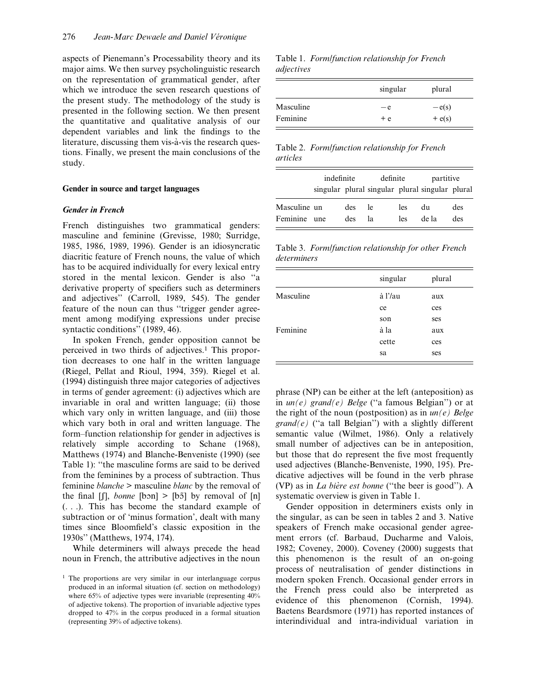aspects of Pienemann's Processability theory and its major aims. We then survey psycholinguistic research on the representation of grammatical gender, after which we introduce the seven research questions of the present study. The methodology of the study is presented in the following section. We then present the quantitative and qualitative analysis of our dependent variables and link the findings to the literature, discussing them vis-à-vis the research questions. Finally, we present the main conclusions of the study.

#### Gender in source and target languages

#### Gender in French

French distinguishes two grammatical genders: masculine and feminine (Grevisse, 1980; Surridge, 1985, 1986, 1989, 1996). Gender is an idiosyncratic diacritic feature of French nouns, the value of which has to be acquired individually for every lexical entry stored in the mental lexicon. Gender is also "a derivative property of specifiers such as determiners and adjectives'' (Carroll, 1989, 545). The gender feature of the noun can thus "trigger gender agreement among modifying expressions under precise syntactic conditions'' (1989, 46).

In spoken French, gender opposition cannot be perceived in two thirds of adjectives.<sup>1</sup> This proportion decreases to one half in the written language (Riegel, Pellat and Rioul, 1994, 359). Riegel et al. (1994) distinguish three major categories of adjectives in terms of gender agreement: (i) adjectives which are invariable in oral and written language; (ii) those which vary only in written language, and (iii) those which vary both in oral and written language. The form–function relationship for gender in adjectives is relatively simple according to Schane (1968), Matthews (1974) and Blanche-Benveniste (1990) (see Table 1): "the masculine forms are said to be derived from the feminines by a process of subtraction. Thus feminine blanche > masculine blanc by the removal of the final  $[$ [], *bonne* [bon] > [bõ] by removal of [n] (. . .). This has become the standard example of subtraction or of 'minus formation', dealt with many times since Bloomfield's classic exposition in the 1930s'' (Matthews, 1974, 174).

While determiners will always precede the head noun in French, the attributive adjectives in the noun

Table 1. Form/function relationship for French adjectives

|           | singular | plural   |
|-----------|----------|----------|
| Masculine | — e      | $-e(s)$  |
| Feminine  | $+e$     | $+ e(s)$ |

Table 2. Form/function relationship for French articles

|                          | indefinite |            | definite  |            | partitive                                       |            |
|--------------------------|------------|------------|-----------|------------|-------------------------------------------------|------------|
|                          |            |            |           |            | singular plural singular plural singular plural |            |
| Masculine un<br>Feminine | une        | des<br>des | le.<br>lа | les<br>les | du<br>de la                                     | des<br>des |

Table 3. Form/function relationship for other French determiners

|           | singular | plural |
|-----------|----------|--------|
| Masculine | à l'/au  | aux    |
|           | ce       | ces    |
|           | son      | ses    |
| Feminine  | à la     | aux    |
|           | cette    | ces    |
|           | sa       | ses    |

phrase (NP) can be either at the left (anteposition) as in  $un(e)$  grand(e) Belge ("a famous Belgian") or at the right of the noun (postposition) as in  $un(e)$  Belge  $grand(e)$  ("a tall Belgian") with a slightly different semantic value (Wilmet, 1986). Only a relatively small number of adjectives can be in anteposition, but those that do represent the five most frequently used adjectives (Blanche-Benveniste, 1990, 195). Predicative adjectives will be found in the verb phrase (VP) as in La bière est bonne ("the beer is good"). A systematic overview is given in Table 1.

Gender opposition in determiners exists only in the singular, as can be seen in tables 2 and 3. Native speakers of French make occasional gender agreement errors (cf. Barbaud, Ducharme and Valois, 1982; Coveney, 2000). Coveney (2000) suggests that this phenomenon is the result of an on-going process of neutralisation of gender distinctions in modern spoken French. Occasional gender errors in the French press could also be interpreted as evidence of this phenomenon (Cornish, 1994). Baetens Beardsmore (1971) has reported instances of interindividual and intra-individual variation in

<sup>&</sup>lt;sup>1</sup> The proportions are very similar in our interlanguage corpus produced in an informal situation (cf. section on methodology) where 65% of adjective types were invariable (representing  $40\%$ ) of adjective tokens). The proportion of invariable adjective types dropped to 47% in the corpus produced in a formal situation (representing 39% of adjective tokens).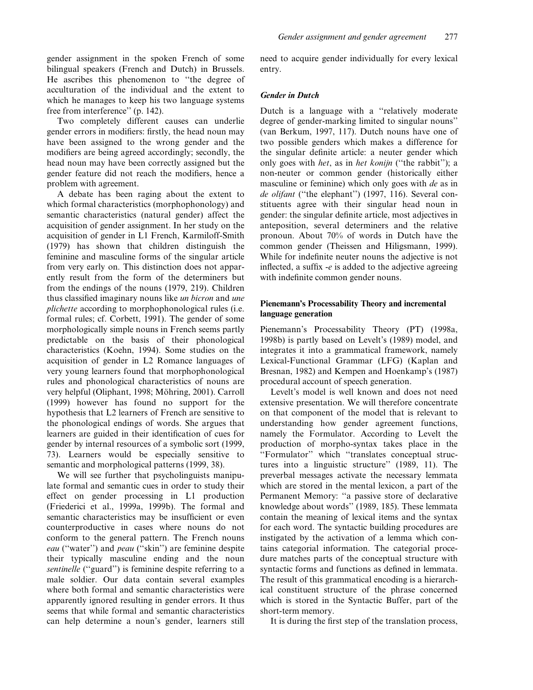gender assignment in the spoken French of some bilingual speakers (French and Dutch) in Brussels. He ascribes this phenomenon to "the degree of acculturation of the individual and the extent to which he manages to keep his two language systems free from interference'' (p. 142).

Two completely different causes can underlie gender errors in modifiers: firstly, the head noun may have been assigned to the wrong gender and the modifiers are being agreed accordingly; secondly, the head noun may have been correctly assigned but the gender feature did not reach the modifiers, hence a problem with agreement.

A debate has been raging about the extent to which formal characteristics (morphophonology) and semantic characteristics (natural gender) affect the acquisition of gender assignment. In her study on the acquisition of gender in L1 French, Karmiloff-Smith (1979) has shown that children distinguish the feminine and masculine forms of the singular article from very early on. This distinction does not apparently result from the form of the determiners but from the endings of the nouns (1979, 219). Children thus classified imaginary nouns like *un bicron* and *une* plichette according to morphophonological rules (i.e. formal rules; cf. Corbett, 1991). The gender of some morphologically simple nouns in French seems partly predictable on the basis of their phonological characteristics (Koehn, 1994). Some studies on the acquisition of gender in L2 Romance languages of very young learners found that morphophonological rules and phonological characteristics of nouns are very helpful (Oliphant, 1998; Möhring, 2001). Carroll (1999) however has found no support for the hypothesis that L2 learners of French are sensitive to the phonological endings of words. She argues that learners are guided in their identification of cues for gender by internal resources of a symbolic sort (1999, 73). Learners would be especially sensitive to semantic and morphological patterns (1999, 38).

We will see further that psycholinguists manipulate formal and semantic cues in order to study their effect on gender processing in L1 production (Friederici et al., 1999a, 1999b). The formal and semantic characteristics may be insufficient or even counterproductive in cases where nouns do not conform to the general pattern. The French nouns eau ("water") and *peau* ("skin") are feminine despite their typically masculine ending and the noun sentinelle ("guard") is feminine despite referring to a male soldier. Our data contain several examples where both formal and semantic characteristics were apparently ignored resulting in gender errors. It thus seems that while formal and semantic characteristics can help determine a noun's gender, learners still need to acquire gender individually for every lexical entry.

## Gender in Dutch

Dutch is a language with a "relatively moderate" degree of gender-marking limited to singular nouns'' (van Berkum, 1997, 117). Dutch nouns have one of two possible genders which makes a difference for the singular definite article: a neuter gender which only goes with *het*, as in *het konijn* ("the rabbit"); a non-neuter or common gender (historically either masculine or feminine) which only goes with *de* as in de olifant ("the elephant") (1997, 116). Several constituents agree with their singular head noun in gender: the singular definite article, most adjectives in anteposition, several determiners and the relative pronoun. About 70% of words in Dutch have the common gender (Theissen and Hiligsmann, 1999). While for indefinite neuter nouns the adjective is not inflected, a suffix -e is added to the adjective agreeing with indefinite common gender nouns.

## Pienemann's Processability Theory and incremental language generation

Pienemann's Processability Theory (PT) (1998a, 1998b) is partly based on Levelt's (1989) model, and integrates it into a grammatical framework, namely Lexical-Functional Grammar (LFG) (Kaplan and Bresnan, 1982) and Kempen and Hoenkamp's (1987) procedural account of speech generation.

Levelt's model is well known and does not need extensive presentation. We will therefore concentrate on that component of the model that is relevant to understanding how gender agreement functions, namely the Formulator. According to Levelt the production of morpho-syntax takes place in the ``Formulator'' which ``translates conceptual structures into a linguistic structure'' (1989, 11). The preverbal messages activate the necessary lemmata which are stored in the mental lexicon, a part of the Permanent Memory: "a passive store of declarative knowledge about words'' (1989, 185). These lemmata contain the meaning of lexical items and the syntax for each word. The syntactic building procedures are instigated by the activation of a lemma which contains categorial information. The categorial procedure matches parts of the conceptual structure with syntactic forms and functions as defined in lemmata. The result of this grammatical encoding is a hierarchical constituent structure of the phrase concerned which is stored in the Syntactic Buffer, part of the short-term memory.

It is during the first step of the translation process,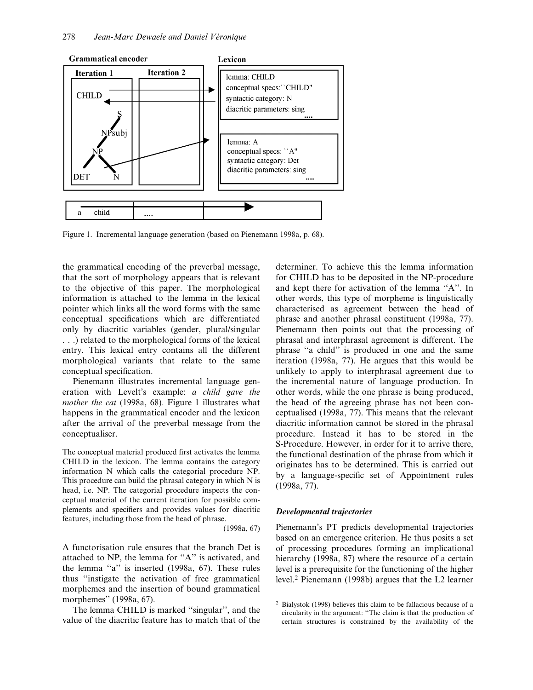

Figure 1. Incremental language generation (based on Pienemann 1998a, p. 68).

the grammatical encoding of the preverbal message, that the sort of morphology appears that is relevant to the objective of this paper. The morphological information is attached to the lemma in the lexical pointer which links all the word forms with the same conceptual specifications which are differentiated only by diacritic variables (gender, plural/singular . . .) related to the morphological forms of the lexical entry. This lexical entry contains all the different morphological variants that relate to the same conceptual specification.

Pienemann illustrates incremental language generation with Levelt's example: a child gave the mother the cat (1998a, 68). Figure 1 illustrates what happens in the grammatical encoder and the lexicon after the arrival of the preverbal message from the conceptualiser.

The conceptual material produced first activates the lemma CHILD in the lexicon. The lemma contains the category information N which calls the categorial procedure NP. This procedure can build the phrasal category in which N is head, i.e. NP. The categorial procedure inspects the conceptual material of the current iteration for possible complements and specifiers and provides values for diacritic features, including those from the head of phrase.

(1998a, 67)

A functorisation rule ensures that the branch Det is attached to NP, the lemma for  $A$ " is activated, and the lemma "a" is inserted (1998a, 67). These rules thus ``instigate the activation of free grammatical morphemes and the insertion of bound grammatical morphemes'' (1998a, 67).

The lemma CHILD is marked "singular", and the value of the diacritic feature has to match that of the determiner. To achieve this the lemma information for CHILD has to be deposited in the NP-procedure and kept there for activation of the lemma "A". In other words, this type of morpheme is linguistically characterised as agreement between the head of phrase and another phrasal constituent (1998a, 77). Pienemann then points out that the processing of phrasal and interphrasal agreement is different. The phrase "a child" is produced in one and the same iteration (1998a, 77). He argues that this would be unlikely to apply to interphrasal agreement due to the incremental nature of language production. In other words, while the one phrase is being produced, the head of the agreeing phrase has not been conceptualised (1998a, 77). This means that the relevant diacritic information cannot be stored in the phrasal procedure. Instead it has to be stored in the S-Procedure. However, in order for it to arrive there, the functional destination of the phrase from which it originates has to be determined. This is carried out by a language-specific set of Appointment rules (1998a, 77).

#### Developmental trajectories

Pienemann's PT predicts developmental trajectories based on an emergence criterion. He thus posits a set of processing procedures forming an implicational hierarchy (1998a, 87) where the resource of a certain level is a prerequisite for the functioning of the higher level.2 Pienemann (1998b) argues that the L2 learner

<sup>2</sup> Bialystok (1998) believes this claim to be fallacious because of a circularity in the argument: "The claim is that the production of certain structures is constrained by the availability of the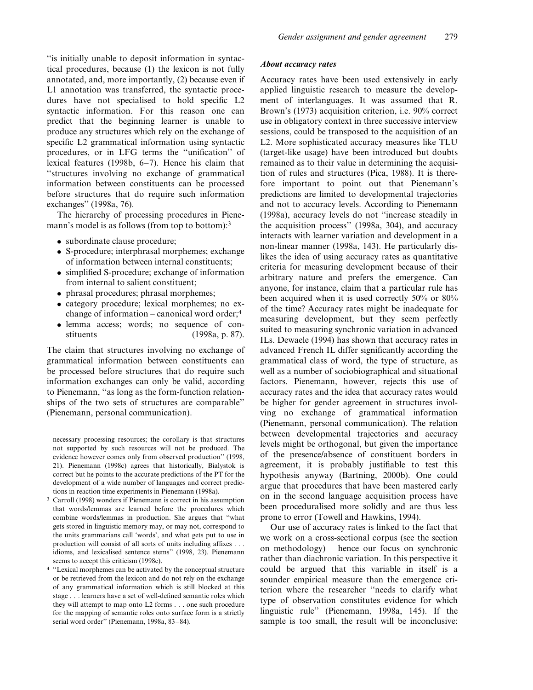``is initially unable to deposit information in syntactical procedures, because (1) the lexicon is not fully annotated, and, more importantly, (2) because even if L1 annotation was transferred, the syntactic procedures have not specialised to hold specific L2 syntactic information. For this reason one can predict that the beginning learner is unable to produce any structures which rely on the exchange of specific L2 grammatical information using syntactic procedures, or in LFG terms the "unification" of lexical features (1998b,  $6-7$ ). Hence his claim that ``structures involving no exchange of grammatical information between constituents can be processed before structures that do require such information exchanges'' (1998a, 76).

The hierarchy of processing procedures in Pienemann's model is as follows (from top to bottom):<sup>3</sup>

- . subordinate clause procedure;
- . S-procedure; interphrasal morphemes; exchange of information between internal constituents;
- simplified S-procedure; exchange of information from internal to salient constituent;
- . phrasal procedures; phrasal morphemes;
- . category procedure; lexical morphemes; no exchange of information  $-\text{canonical word order}$ ;<sup>4</sup>
- . lemma access; words; no sequence of constituents (1998a, p. 87).

The claim that structures involving no exchange of grammatical information between constituents can be processed before structures that do require such information exchanges can only be valid, according to Pienemann, "as long as the form-function relationships of the two sets of structures are comparable'' (Pienemann, personal communication).

necessary processing resources; the corollary is that structures not supported by such resources will not be produced. The evidence however comes only from observed production'' (1998, 21). Pienemann (1998c) agrees that historically, Bialystok is correct but he points to the accurate predictions of the PT for the development of a wide number of languages and correct predictions in reaction time experiments in Pienemann (1998a).

- <sup>3</sup> Carroll (1998) wonders if Pienemann is correct in his assumption that words/lemmas are learned before the procedures which combine words/lemmas in production. She argues that "what gets stored in linguistic memory may, or may not, correspond to the units grammarians call `words', and what gets put to use in production will consist of all sorts of units including affixes . . . idioms, and lexicalised sentence stems'' (1998, 23). Pienemann seems to accept this criticism (1998c).
- <sup>4</sup> "Lexical morphemes can be activated by the conceptual structure or be retrieved from the lexicon and do not rely on the exchange of any grammatical information which is still blocked at this stage . . . learners have a set of well-defined semantic roles which they will attempt to map onto L2 forms . . . one such procedure for the mapping of semantic roles onto surface form is a strictly serial word order" (Pienemann, 1998a, 83-84).

#### About accuracy rates

Accuracy rates have been used extensively in early applied linguistic research to measure the development of interlanguages. It was assumed that R. Brown's (1973) acquisition criterion, i.e. 90% correct use in obligatory context in three successive interview sessions, could be transposed to the acquisition of an L2. More sophisticated accuracy measures like TLU (target-like usage) have been introduced but doubts remained as to their value in determining the acquisition of rules and structures (Pica, 1988). It is therefore important to point out that Pienemann's predictions are limited to developmental trajectories and not to accuracy levels. According to Pienemann (1998a), accuracy levels do not "increase steadily in the acquisition process'' (1998a, 304), and accuracy interacts with learner variation and development in a non-linear manner (1998a, 143). He particularly dislikes the idea of using accuracy rates as quantitative criteria for measuring development because of their arbitrary nature and prefers the emergence. Can anyone, for instance, claim that a particular rule has been acquired when it is used correctly 50% or 80% of the time? Accuracy rates might be inadequate for measuring development, but they seem perfectly suited to measuring synchronic variation in advanced ILs. Dewaele (1994) has shown that accuracy rates in advanced French IL differ significantly according the grammatical class of word, the type of structure, as well as a number of sociobiographical and situational factors. Pienemann, however, rejects this use of accuracy rates and the idea that accuracy rates would be higher for gender agreement in structures involving no exchange of grammatical information (Pienemann, personal communication). The relation between developmental trajectories and accuracy levels might be orthogonal, but given the importance of the presence/absence of constituent borders in agreement, it is probably justifiable to test this hypothesis anyway (Bartning, 2000b). One could argue that procedures that have been mastered early on in the second language acquisition process have been proceduralised more solidly and are thus less prone to error (Towell and Hawkins, 1994).

Our use of accuracy rates is linked to the fact that we work on a cross-sectional corpus (see the section on methodology)  $-$  hence our focus on synchronic rather than diachronic variation. In this perspective it could be argued that this variable in itself is a sounder empirical measure than the emergence criterion where the researcher "needs to clarify what type of observation constitutes evidence for which linguistic rule'' (Pienemann, 1998a, 145). If the sample is too small, the result will be inconclusive: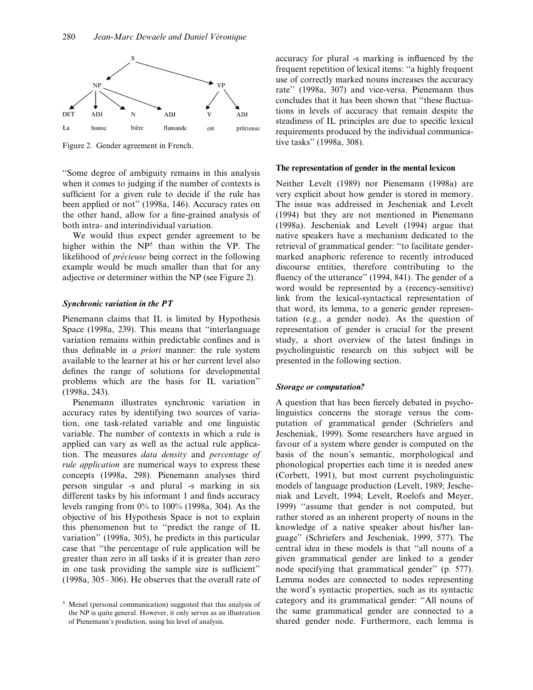

Figure 2. Gender agreement in French.

``Some degree of ambiguity remains in this analysis when it comes to judging if the number of contexts is sufficient for a given rule to decide if the rule has been applied or not'' (1998a, 146). Accuracy rates on the other hand, allow for a fine-grained analysis of both intra- and interindividual variation.

We would thus expect gender agreement to be higher within the NP<sup>5</sup> than within the VP. The likelihood of *précieuse* being correct in the following example would be much smaller than that for any adjective or determiner within the NP (see Figure 2).

#### Synchronic variation in the PT

Pienemann claims that IL is limited by Hypothesis Space (1998a, 239). This means that "interlanguage variation remains within predictable confines and is thus definable in  $a$  priori manner: the rule system available to the learner at his or her current level also defines the range of solutions for developmental problems which are the basis for IL variation'' (1998a, 243).

Pienemann illustrates synchronic variation in accuracy rates by identifying two sources of variation, one task-related variable and one linguistic variable. The number of contexts in which a rule is applied can vary as well as the actual rule application. The measures data density and percentage of rule application are numerical ways to express these concepts (1998a, 298). Pienemann analyses third person singular -s and plural -s marking in six different tasks by his informant 1 and finds accuracy levels ranging from 0% to 100% (1998a, 304). As the objective of his Hypothesis Space is not to explain this phenomenon but to "predict the range of IL variation'' (1998a, 305), he predicts in this particular case that "the percentage of rule application will be greater than zero in all tasks if it is greater than zero in one task providing the sample size is sufficient"  $(1998a, 305-306)$ . He observes that the overall rate of

accuracy for plural -s marking is influenced by the frequent repetition of lexical items: "a highly frequent use of correctly marked nouns increases the accuracy rate'' (1998a, 307) and vice-versa. Pienemann thus concludes that it has been shown that "these fluctuations in levels of accuracy that remain despite the steadiness of IL principles are due to specific lexical requirements produced by the individual communicative tasks'' (1998a, 308).

## The representation of gender in the mental lexicon

Neither Levelt (1989) nor Pienemann (1998a) are very explicit about how gender is stored in memory. The issue was addressed in Jescheniak and Levelt (1994) but they are not mentioned in Pienemann (1998a). Jescheniak and Levelt (1994) argue that native speakers have a mechanism dedicated to the retrieval of grammatical gender: "to facilitate gendermarked anaphoric reference to recently introduced discourse entities, therefore contributing to the fluency of the utterance" (1994, 841). The gender of a word would be represented by a (recency-sensitive) link from the lexical-syntactical representation of that word, its lemma, to a generic gender representation (e.g., a gender node). As the question of representation of gender is crucial for the present study, a short overview of the latest findings in psycholinguistic research on this subject will be presented in the following section.

#### Storage or computation?

A question that has been fiercely debated in psycholinguistics concerns the storage versus the computation of grammatical gender (Schriefers and Jescheniak, 1999). Some researchers have argued in favour of a system where gender is computed on the basis of the noun's semantic, morphological and phonological properties each time it is needed anew (Corbett, 1991), but most current psycholinguistic models of language production (Levelt, 1989; Jescheniak and Levelt, 1994; Levelt, Roelofs and Meyer, 1999) "assume that gender is not computed, but rather stored as an inherent property of nouns in the knowledge of a native speaker about his/her language'' (Schriefers and Jescheniak, 1999, 577). The central idea in these models is that ``all nouns of a given grammatical gender are linked to a gender node specifying that grammatical gender'' (p. 577). Lemma nodes are connected to nodes representing the word's syntactic properties, such as its syntactic category and its grammatical gender: "All nouns of the same grammatical gender are connected to a shared gender node. Furthermore, each lemma is

<sup>5</sup> Meisel (personal communication) suggested that this analysis of the NP is quite general. However, it only serves as an illustration of Pienemann's prediction, using his level of analysis.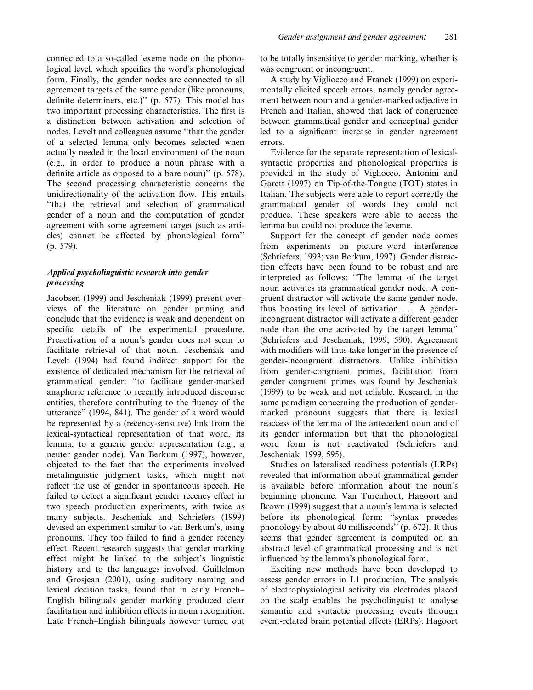connected to a so-called lexeme node on the phonological level, which specifies the word's phonological form. Finally, the gender nodes are connected to all agreement targets of the same gender (like pronouns, definite determiners, etc.)" (p. 577). This model has two important processing characteristics. The first is a distinction between activation and selection of nodes. Levelt and colleagues assume "that the gender of a selected lemma only becomes selected when actually needed in the local environment of the noun (e.g., in order to produce a noun phrase with a definite article as opposed to a bare noun)" (p. 578). The second processing characteristic concerns the unidirectionality of the activation flow. This entails ``that the retrieval and selection of grammatical gender of a noun and the computation of gender agreement with some agreement target (such as articles) cannot be affected by phonological form'' (p. 579).

## Applied psycholinguistic research into gender processing

Jacobsen (1999) and Jescheniak (1999) present overviews of the literature on gender priming and conclude that the evidence is weak and dependent on specific details of the experimental procedure. Preactivation of a noun's gender does not seem to facilitate retrieval of that noun. Jescheniak and Levelt (1994) had found indirect support for the existence of dedicated mechanism for the retrieval of grammatical gender: "to facilitate gender-marked anaphoric reference to recently introduced discourse entities, therefore contributing to the fluency of the utterance'' (1994, 841). The gender of a word would be represented by a (recency-sensitive) link from the lexical-syntactical representation of that word, its lemma, to a generic gender representation (e.g., a neuter gender node). Van Berkum (1997), however, objected to the fact that the experiments involved metalinguistic judgment tasks, which might not reflect the use of gender in spontaneous speech. He failed to detect a significant gender recency effect in two speech production experiments, with twice as many subjects. Jescheniak and Schriefers (1999) devised an experiment similar to van Berkum's, using pronouns. They too failed to find a gender recency effect. Recent research suggests that gender marking effect might be linked to the subject's linguistic history and to the languages involved. Guillelmon and Grosjean (2001), using auditory naming and lexical decision tasks, found that in early French-English bilinguals gender marking produced clear facilitation and inhibition effects in noun recognition. Late French-English bilinguals however turned out to be totally insensitive to gender marking, whether is was congruent or incongruent.

A study by Vigliocco and Franck (1999) on experimentally elicited speech errors, namely gender agreement between noun and a gender-marked adjective in French and Italian, showed that lack of congruence between grammatical gender and conceptual gender led to a significant increase in gender agreement errors.

Evidence for the separate representation of lexicalsyntactic properties and phonological properties is provided in the study of Vigliocco, Antonini and Garett (1997) on Tip-of-the-Tongue (TOT) states in Italian. The subjects were able to report correctly the grammatical gender of words they could not produce. These speakers were able to access the lemma but could not produce the lexeme.

Support for the concept of gender node comes from experiments on picture–word interference (Schriefers, 1993; van Berkum, 1997). Gender distraction effects have been found to be robust and are interpreted as follows: "The lemma of the target noun activates its grammatical gender node. A congruent distractor will activate the same gender node, thus boosting its level of activation . . . A genderincongruent distractor will activate a different gender node than the one activated by the target lemma'' (Schriefers and Jescheniak, 1999, 590). Agreement with modifiers will thus take longer in the presence of gender-incongruent distractors. Unlike inhibition from gender-congruent primes, facilitation from gender congruent primes was found by Jescheniak (1999) to be weak and not reliable. Research in the same paradigm concerning the production of gendermarked pronouns suggests that there is lexical reaccess of the lemma of the antecedent noun and of its gender information but that the phonological word form is not reactivated (Schriefers and Jescheniak, 1999, 595).

Studies on lateralised readiness potentials (LRPs) revealed that information about grammatical gender is available before information about the noun's beginning phoneme. Van Turenhout, Hagoort and Brown (1999) suggest that a noun's lemma is selected before its phonological form: "syntax precedes phonology by about 40 milliseconds'' (p. 672). It thus seems that gender agreement is computed on an abstract level of grammatical processing and is not influenced by the lemma's phonological form.

Exciting new methods have been developed to assess gender errors in L1 production. The analysis of electrophysiological activity via electrodes placed on the scalp enables the psycholinguist to analyse semantic and syntactic processing events through event-related brain potential effects (ERPs). Hagoort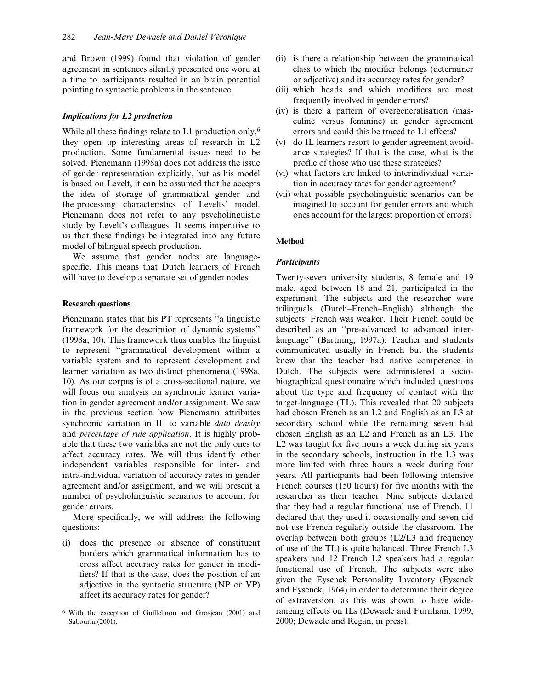and Brown (1999) found that violation of gender agreement in sentences silently presented one word at a time to participants resulted in an brain potential pointing to syntactic problems in the sentence.

## Implications for L2 production

While all these findings relate to  $L1$  production only,<sup>6</sup> they open up interesting areas of research in L2 production. Some fundamental issues need to be solved. Pienemann (1998a) does not address the issue of gender representation explicitly, but as his model is based on Levelt, it can be assumed that he accepts the idea of storage of grammatical gender and the processing characteristics of Levelts' model. Pienemann does not refer to any psycholinguistic study by Levelt's colleagues. It seems imperative to us that these findings be integrated into any future model of bilingual speech production.

We assume that gender nodes are languagespecific. This means that Dutch learners of French will have to develop a separate set of gender nodes.

#### Research questions

Pienemann states that his PT represents "a linguistic framework for the description of dynamic systems'' (1998a, 10). This framework thus enables the linguist to represent ``grammatical development within a variable system and to represent development and learner variation as two distinct phenomena (1998a, 10). As our corpus is of a cross-sectional nature, we will focus our analysis on synchronic learner variation in gender agreement and/or assignment. We saw in the previous section how Pienemann attributes synchronic variation in IL to variable *data density* and percentage of rule application. It is highly probable that these two variables are not the only ones to affect accuracy rates. We will thus identify other independent variables responsible for inter- and intra-individual variation of accuracy rates in gender agreement and/or assignment, and we will present a number of psycholinguistic scenarios to account for gender errors.

More specifically, we will address the following questions:

- (i) does the presence or absence of constituent borders which grammatical information has to cross affect accuracy rates for gender in modi fiers? If that is the case, does the position of an adjective in the syntactic structure (NP or VP) affect its accuracy rates for gender?
- <sup>6</sup> With the exception of Guillelmon and Grosjean (2001) and Sabourin (2001).
- (ii) is there a relationship between the grammatical class to which the modifier belongs (determiner or adjective) and its accuracy rates for gender?
- (iii) which heads and which modifiers are most frequently involved in gender errors?
- (iv) is there a pattern of overgeneralisation (masculine versus feminine) in gender agreement errors and could this be traced to L1 effects?
- (v) do IL learners resort to gender agreement avoidance strategies? If that is the case, what is the profile of those who use these strategies?
- (vi) what factors are linked to interindividual variation in accuracy rates for gender agreement?
- (vii) what possible psycholinguistic scenarios can be imagined to account for gender errors and which ones account for the largest proportion of errors?

## Method

## **Participants**

Twenty-seven university students, 8 female and 19 male, aged between 18 and 21, participated in the experiment. The subjects and the researcher were trilinguals (Dutch-French-English) although the subjects' French was weaker. Their French could be described as an "pre-advanced to advanced interlanguage'' (Bartning, 1997a). Teacher and students communicated usually in French but the students knew that the teacher had native competence in Dutch. The subjects were administered a sociobiographical questionnaire which included questions about the type and frequency of contact with the target-language (TL). This revealed that 20 subjects had chosen French as an L2 and English as an L3 at secondary school while the remaining seven had chosen English as an L2 and French as an L3. The L2 was taught for five hours a week during six years in the secondary schools, instruction in the L3 was more limited with three hours a week during four years. All participants had been following intensive French courses  $(150$  hours) for five months with the researcher as their teacher. Nine subjects declared that they had a regular functional use of French, 11 declared that they used it occasionally and seven did not use French regularly outside the classroom. The overlap between both groups (L2/L3 and frequency of use of the TL) is quite balanced. Three French L3 speakers and 12 French L2 speakers had a regular functional use of French. The subjects were also given the Eysenck Personality Inventory (Eysenck and Eysenck, 1964) in order to determine their degree of extraversion, as this was shown to have wideranging effects on ILs (Dewaele and Furnham, 1999, 2000; Dewaele and Regan, in press).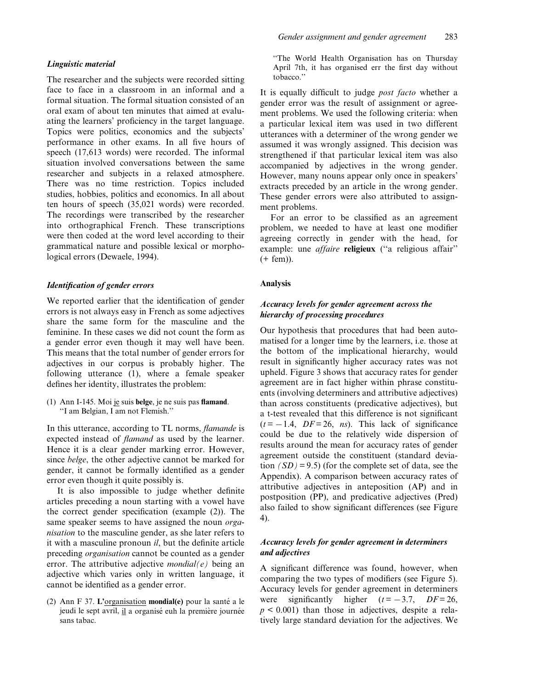#### Linguistic material

The researcher and the subjects were recorded sitting face to face in a classroom in an informal and a formal situation. The formal situation consisted of an oral exam of about ten minutes that aimed at evaluating the learners' proficiency in the target language. Topics were politics, economics and the subjects' performance in other exams. In all five hours of speech (17,613 words) were recorded. The informal situation involved conversations between the same researcher and subjects in a relaxed atmosphere. There was no time restriction. Topics included studies, hobbies, politics and economics. In all about ten hours of speech (35,021 words) were recorded. The recordings were transcribed by the researcher into orthographical French. These transcriptions were then coded at the word level according to their grammatical nature and possible lexical or morphological errors (Dewaele, 1994).

## Identification of gender errors

We reported earlier that the identification of gender errors is not always easy in French as some adjectives share the same form for the masculine and the feminine. In these cases we did not count the form as a gender error even though it may well have been. This means that the total number of gender errors for adjectives in our corpus is probably higher. The following utterance (1), where a female speaker defines her identity, illustrates the problem:

(1) Ann I-145. Moi je suis belge, je ne suis pas flamand. ``I am Belgian, I am not Flemish.''

In this utterance, according to TL norms, *flamande* is expected instead of *flamand* as used by the learner. Hence it is a clear gender marking error. However, since belge, the other adjective cannot be marked for gender, it cannot be formally identified as a gender error even though it quite possibly is.

It is also impossible to judge whether definite articles preceding a noun starting with a vowel have the correct gender specification (example  $(2)$ ). The same speaker seems to have assigned the noun *orga*nisation to the masculine gender, as she later refers to it with a masculine pronoun  $il$ , but the definite article preceding organisation cannot be counted as a gender error. The attributive adjective *mondial(e)* being an adjective which varies only in written language, it cannot be identified as a gender error.

(2) Ann F 37. L'organisation mondial(e) pour la santé a le jeudi le sept avril, il a organisé euh la première journée sans tabac.

"The World Health Organisation has on Thursday April 7th, it has organised err the first day without tobacco.''

It is equally difficult to judge *post facto* whether a gender error was the result of assignment or agreement problems. We used the following criteria: when a particular lexical item was used in two different utterances with a determiner of the wrong gender we assumed it was wrongly assigned. This decision was strengthened if that particular lexical item was also accompanied by adjectives in the wrong gender. However, many nouns appear only once in speakers' extracts preceded by an article in the wrong gender. These gender errors were also attributed to assignment problems.

For an error to be classified as an agreement problem, we needed to have at least one modifier agreeing correctly in gender with the head, for example: une affaire religieux ("a religious affair" (+ fem)).

## Analysis

## Accuracy levels for gender agreement across the hierarchy of processing procedures

Our hypothesis that procedures that had been automatised for a longer time by the learners, i.e. those at the bottom of the implicational hierarchy, would result in significantly higher accuracy rates was not upheld. Figure 3 shows that accuracy rates for gender agreement are in fact higher within phrase constituents (involving determiners and attributive adjectives) than across constituents (predicative adjectives), but a t-test revealed that this difference is not significant  $(t = -1.4, DF = 26, ns)$ . This lack of significance could be due to the relatively wide dispersion of results around the mean for accuracy rates of gender agreement outside the constituent (standard deviation  $(SD) = 9.5$ ) (for the complete set of data, see the Appendix). A comparison between accuracy rates of attributive adjectives in anteposition (AP) and in postposition (PP), and predicative adjectives (Pred) also failed to show significant differences (see Figure 4).

## Accuracy levels for gender agreement in determiners and adjectives

A significant difference was found, however, when comparing the two types of modifiers (see Figure 5). Accuracy levels for gender agreement in determiners were significantly higher  $(t = -3.7, DF = 26,$  $p \leq 0.001$ ) than those in adjectives, despite a relatively large standard deviation for the adjectives. We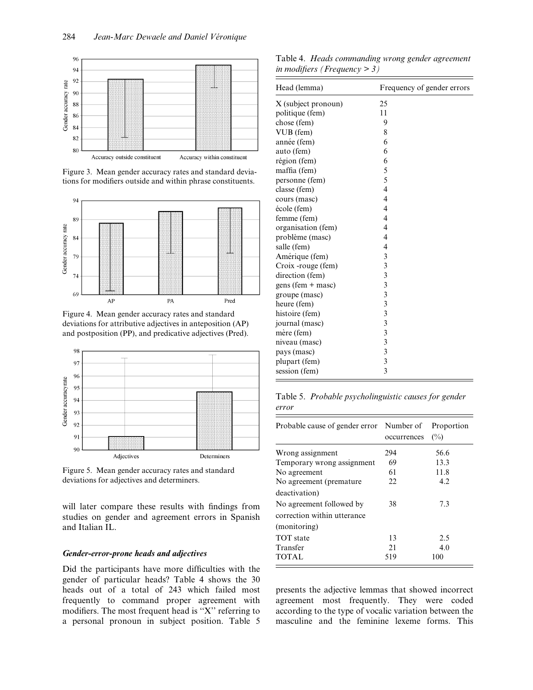

Figure 3. Mean gender accuracy rates and standard deviations for modifiers outside and within phrase constituents.



Figure 4. Mean gender accuracy rates and standard deviations for attributive adjectives in anteposition (AP) and postposition (PP), and predicative adjectives (Pred).



Figure 5. Mean gender accuracy rates and standard deviations for adjectives and determiners.

will later compare these results with findings from studies on gender and agreement errors in Spanish and Italian IL.

## Gender-error-prone heads and adjectives

Did the participants have more difficulties with the gender of particular heads? Table 4 shows the 30 heads out of a total of 243 which failed most frequently to command proper agreement with modifiers. The most frequent head is " $X$ " referring to a personal pronoun in subject position. Table 5

Table 4. Heads commanding wrong gender agreement in modifiers (Frequency  $>$  3)

| Head (lemma)        | Frequency of gender errors |
|---------------------|----------------------------|
| X (subject pronoun) | 25                         |
| politique (fem)     | 11                         |
| chose (fem)         | 9                          |
| VUB (fem)           | 8                          |
| année (fem)         | 6                          |
| auto (fem)          | 6                          |
| région (fem)        | 6                          |
| maffia (fem)        | 5                          |
| personne (fem)      | 5                          |
| classe (fem)        | $\overline{4}$             |
| cours (masc)        | $\overline{4}$             |
| école (fem)         | 4                          |
| femme (fem)         | 4                          |
| organisation (fem)  | 4                          |
| problème (masc)     | 4                          |
| salle (fem)         | $\overline{4}$             |
| Amérique (fem)      | 3                          |
| Croix -rouge (fem)  | 3                          |
| direction (fem)     | 3                          |
| $gens (fem + masc)$ | 3                          |
| groupe (masc)       | $\overline{\mathbf{3}}$    |
| heure (fem)         | 3                          |
| histoire (fem)      | 3                          |
| journal (masc)      | 3                          |
| mère (fem)          | 3                          |
| niveau (masc)       | 3                          |
| pays (masc)         | 3                          |
| plupart (fem)       | $\overline{\mathbf{3}}$    |
| session (fem)       | 3                          |

|       | Table 5. Probable psycholinguistic causes for gender |
|-------|------------------------------------------------------|
| error |                                                      |

| Probable cause of gender error Number of  | occurrences | Proportion<br>$\binom{0}{0}$ |
|-------------------------------------------|-------------|------------------------------|
| Wrong assignment                          | 294         | 56.6                         |
| Temporary wrong assignment                | 69          | 13.3                         |
| No agreement                              | 61          | 11.8                         |
| No agreement (premature                   | 22          | 4.2                          |
| deactivation)<br>No agreement followed by | 38          | 7.3                          |
| correction within utterance               |             |                              |
| (monitoring)                              |             |                              |
| <b>TOT</b> state                          | 13          | 2.5                          |
| Transfer                                  | 21          | 4.0                          |
| <b>TOTAL</b>                              | 519         | 100                          |

presents the adjective lemmas that showed incorrect agreement most frequently. They were coded according to the type of vocalic variation between the masculine and the feminine lexeme forms. This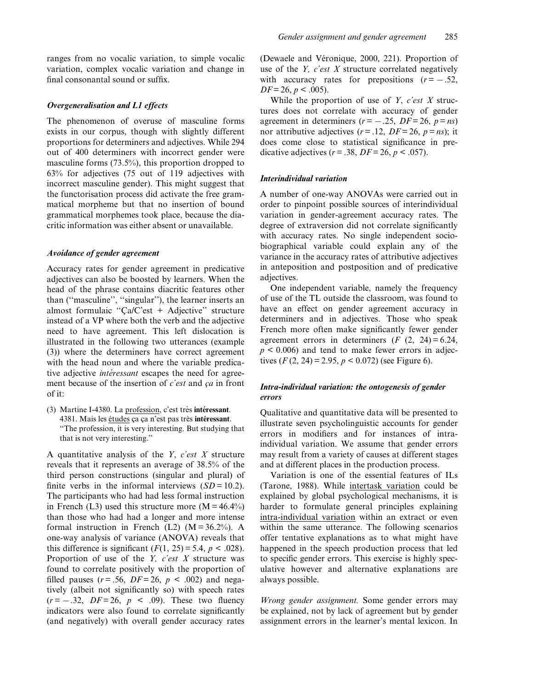ranges from no vocalic variation, to simple vocalic variation, complex vocalic variation and change in final consonantal sound or suffix.

## Overgeneralisation and L1 effects

The phenomenon of overuse of masculine forms exists in our corpus, though with slightly different proportions for determiners and adjectives. While 294 out of 400 determiners with incorrect gender were masculine forms (73.5%), this proportion dropped to 63% for adjectives (75 out of 119 adjectives with incorrect masculine gender). This might suggest that the functorisation process did activate the free grammatical morpheme but that no insertion of bound grammatical morphemes took place, because the diacritic information was either absent or unavailable.

#### Avoidance of gender agreement

Accuracy rates for gender agreement in predicative adjectives can also be boosted by learners. When the head of the phrase contains diacritic features other than ("masculine", "singular"), the learner inserts an almost formulaic "Ca/C'est + Adjective" structure instead of a VP where both the verb and the adjective need to have agreement. This left dislocation is illustrated in the following two utterances (example (3)) where the determiners have correct agreement with the head noun and where the variable predicative adjective *intéressant* escapes the need for agreement because of the insertion of  $c$ 'est and  $ca$  in front of it:

(3) Martine I-4380. La profession, c'est très intéressant. 4381. Mais les études ça ça n'est pas très intéressant. ``The profession, it is very interesting. But studying that that is not very interesting.''

A quantitative analysis of the  $Y$ ,  $c$ 'est  $X$  structure reveals that it represents an average of 38.5% of the third person constructions (singular and plural) of finite verbs in the informal interviews  $(SD = 10.2)$ . The participants who had had less formal instruction in French (L3) used this structure more ( $M = 46.4\%$ ) than those who had had a longer and more intense formal instruction in French (L2)  $(M = 36.2\%)$ . A one-way analysis of variance (ANOVA) reveals that this difference is significant  $(F(1, 25) = 5.4, p < .028)$ . Proportion of use of the *Y*,  $c'est X$  structure was found to correlate positively with the proportion of filled pauses ( $r = .56$ ,  $DF = 26$ ,  $p < .002$ ) and negatively (albeit not significantly so) with speech rates  $(r = -.32, DF = 26, p < .09)$ . These two fluency indicators were also found to correlate significantly (and negatively) with overall gender accuracy rates (Dewaele and Véronique,  $2000$ ,  $221$ ). Proportion of use of the *Y*,  $c'est X$  structure correlated negatively with accuracy rates for prepositions  $(r = -.52)$ ,  $DF = 26, p < .005$ ).

While the proportion of use of  $Y$ ,  $c$ 'est  $X$  structures does not correlate with accuracy of gender agreement in determiners ( $r = -.25$ ,  $DF = 26$ ,  $p = ns$ ) nor attributive adjectives  $(r = .12, DF = 26, p = ns)$ ; it does come close to statistical significance in predicative adjectives ( $r = .38$ ,  $DF = 26$ ,  $p < .057$ ).

#### Interindividual variation

A number of one-way ANOVAs were carried out in order to pinpoint possible sources of interindividual variation in gender-agreement accuracy rates. The degree of extraversion did not correlate significantly with accuracy rates. No single independent sociobiographical variable could explain any of the variance in the accuracy rates of attributive adjectives in anteposition and postposition and of predicative adjectives.

One independent variable, namely the frequency of use of the TL outside the classroom, was found to have an effect on gender agreement accuracy in determiners and in adjectives. Those who speak French more often make significantly fewer gender agreement errors in determiners  $(F (2, 24) = 6.24,$  $p < 0.006$ ) and tend to make fewer errors in adjectives  $(F(2, 24) = 2.95, p < 0.072)$  (see Figure 6).

## Intra-individual variation: the ontogenesis of gender errors

Qualitative and quantitative data will be presented to illustrate seven psycholinguistic accounts for gender errors in modifiers and for instances of intraindividual variation. We assume that gender errors may result from a variety of causes at different stages and at different places in the production process.

Variation is one of the essential features of ILs (Tarone, 1988). While intertask variation could be explained by global psychological mechanisms, it is harder to formulate general principles explaining intra-individual variation within an extract or even within the same utterance. The following scenarios offer tentative explanations as to what might have happened in the speech production process that led to specific gender errors. This exercise is highly speculative however and alternative explanations are always possible.

Wrong gender assignment. Some gender errors may be explained, not by lack of agreement but by gender assignment errors in the learner's mental lexicon. In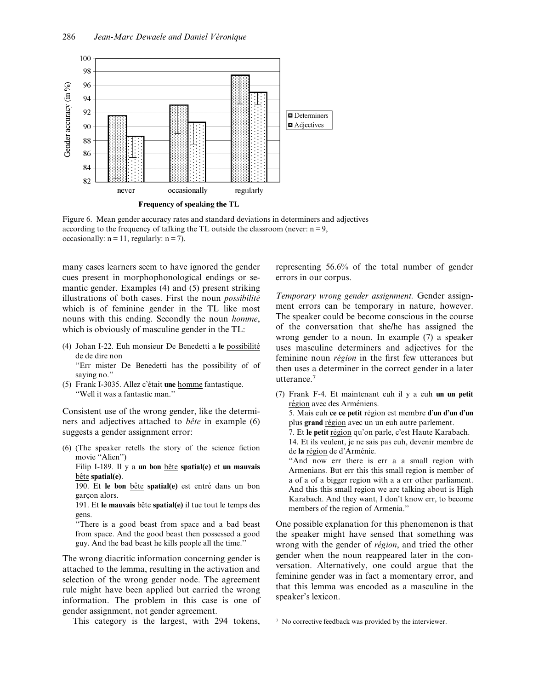

Figure 6. Mean gender accuracy rates and standard deviations in determiners and adjectives according to the frequency of talking the TL outside the classroom (never:  $n = 9$ , occasionally:  $n = 11$ , regularly:  $n = 7$ ).

many cases learners seem to have ignored the gender cues present in morphophonological endings or semantic gender. Examples (4) and (5) present striking illustrations of both cases. First the noun *possibilité* which is of feminine gender in the TL like most nouns with this ending. Secondly the noun homme, which is obviously of masculine gender in the TL:

(4) Johan I-22. Euh monsieur De Benedetti a le possibilité de de dire non

``Err mister De Benedetti has the possibility of of saying no.''

 $(5)$  Frank I-3035. Allez c'était une homme fantastique. ``Well it was a fantastic man.''

Consistent use of the wrong gender, like the determiners and adjectives attached to  $b\hat{e}te$  in example (6) suggests a gender assignment error:

 $(6)$  (The speaker retells the story of the science fiction movie "Alien")

Filip I-189. Il y a un bon bête spatial(e) et un mauvais bête spatial(e).

190. Et le bon bête spatial(e) est entré dans un bon garçon alors.

191. Et le mauvais bête spatial $(e)$  il tue tout le temps des gens.

"There is a good beast from space and a bad beast from space. And the good beast then possessed a good guy. And the bad beast he kills people all the time.''

The wrong diacritic information concerning gender is attached to the lemma, resulting in the activation and selection of the wrong gender node. The agreement rule might have been applied but carried the wrong information. The problem in this case is one of gender assignment, not gender agreement.

This category is the largest, with 294 tokens,

representing 56.6% of the total number of gender errors in our corpus.

Temporary wrong gender assignment. Gender assignment errors can be temporary in nature, however. The speaker could be become conscious in the course of the conversation that she/he has assigned the wrong gender to a noun. In example (7) a speaker uses masculine determiners and adjectives for the feminine noun *région* in the first few utterances but then uses a determiner in the correct gender in a later utterance.<sup>7</sup>

(7) Frank F-4. Et maintenant euh il y a euh un un petit région avec des Arméniens. 5. Mais euh ce ce petit région est membre d'un d'un d'un plus grand région avec un un euh autre parlement. 7. Et le petit région qu'on parle, c'est Haute Karabach. 14. Et ils veulent, je ne sais pas euh, devenir membre de de la région de d'Arménie. "And now err there is err a a small region with Armenians. But err this this small region is member of a of a of a bigger region with a a err other parliament. And this this small region we are talking about is High Karabach. And they want, I don't know err, to become members of the region of Armenia.''

One possible explanation for this phenomenon is that the speaker might have sensed that something was wrong with the gender of *région*, and tried the other gender when the noun reappeared later in the conversation. Alternatively, one could argue that the feminine gender was in fact a momentary error, and that this lemma was encoded as a masculine in the speaker's lexicon.

<sup>7</sup> No corrective feedback was provided by the interviewer.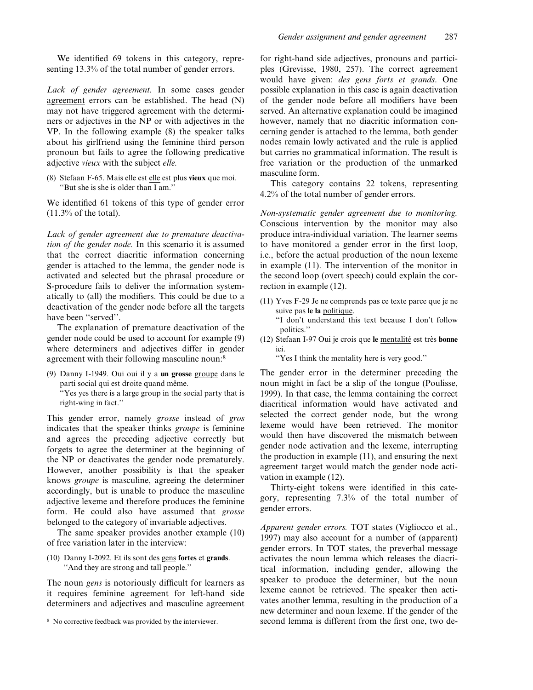We identified 69 tokens in this category, representing 13.3% of the total number of gender errors.

Lack of gender agreement. In some cases gender agreement errors can be established. The head (N) may not have triggered agreement with the determiners or adjectives in the NP or with adjectives in the VP. In the following example (8) the speaker talks about his girlfriend using the feminine third person pronoun but fails to agree the following predicative adjective vieux with the subject elle.

(8) Stefaan F-65. Mais elle est elle est plus vieux que moi. "But she is she is older than  $\overline{I}$  am."

We identified 61 tokens of this type of gender error  $(11.3\% \text{ of the total}).$ 

Lack of gender agreement due to premature deactivation of the gender node. In this scenario it is assumed that the correct diacritic information concerning gender is attached to the lemma, the gender node is activated and selected but the phrasal procedure or S-procedure fails to deliver the information systematically to (all) the modifiers. This could be due to a deactivation of the gender node before all the targets have been "served".

The explanation of premature deactivation of the gender node could be used to account for example (9) where determiners and adjectives differ in gender agreement with their following masculine noun:<sup>8</sup>

(9) Danny I-1949. Oui oui il y a un grosse groupe dans le parti social qui est droite quand même. ``Yes yes there is a large group in the social party that is right-wing in fact.''

This gender error, namely grosse instead of gros indicates that the speaker thinks groupe is feminine and agrees the preceding adjective correctly but forgets to agree the determiner at the beginning of the NP or deactivates the gender node prematurely. However, another possibility is that the speaker knows groupe is masculine, agreeing the determiner accordingly, but is unable to produce the masculine adjective lexeme and therefore produces the feminine form. He could also have assumed that grosse belonged to the category of invariable adjectives.

The same speaker provides another example (10) of free variation later in the interview:

(10) Danny I-2092. Et ils sont des gens fortes et grands. ``And they are strong and tall people.''

The noun *gens* is notoriously difficult for learners as it requires feminine agreement for left-hand side determiners and adjectives and masculine agreement

for right-hand side adjectives, pronouns and participles (Grevisse, 1980, 257). The correct agreement would have given: des gens forts et grands. One possible explanation in this case is again deactivation of the gender node before all modifiers have been served. An alternative explanation could be imagined however, namely that no diacritic information concerning gender is attached to the lemma, both gender nodes remain lowly activated and the rule is applied but carries no grammatical information. The result is free variation or the production of the unmarked masculine form.

This category contains 22 tokens, representing 4.2% of the total number of gender errors.

Non-systematic gender agreement due to monitoring. Conscious intervention by the monitor may also produce intra-individual variation. The learner seems to have monitored a gender error in the first loop, i.e., before the actual production of the noun lexeme in example (11). The intervention of the monitor in the second loop (overt speech) could explain the correction in example (12).

(11) Yves F-29 Je ne comprends pas ce texte parce que je ne suive pas le la politique. "I don't understand this text because I don't follow

politics.''

(12) Stefaan I-97 Oui je crois que le mentalité est très bonne ici.

``Yes I think the mentality here is very good.''

The gender error in the determiner preceding the noun might in fact be a slip of the tongue (Poulisse, 1999). In that case, the lemma containing the correct diacritical information would have activated and selected the correct gender node, but the wrong lexeme would have been retrieved. The monitor would then have discovered the mismatch between gender node activation and the lexeme, interrupting the production in example (11), and ensuring the next agreement target would match the gender node activation in example (12).

Thirty-eight tokens were identified in this category, representing 7.3% of the total number of gender errors.

Apparent gender errors. TOT states (Vigliocco et al., 1997) may also account for a number of (apparent) gender errors. In TOT states, the preverbal message activates the noun lemma which releases the diacritical information, including gender, allowing the speaker to produce the determiner, but the noun lexeme cannot be retrieved. The speaker then activates another lemma, resulting in the production of a new determiner and noun lexeme. If the gender of the <sup>8</sup> No corrective feedback was provided by the interviewer. second lemma is different from the first one, two de-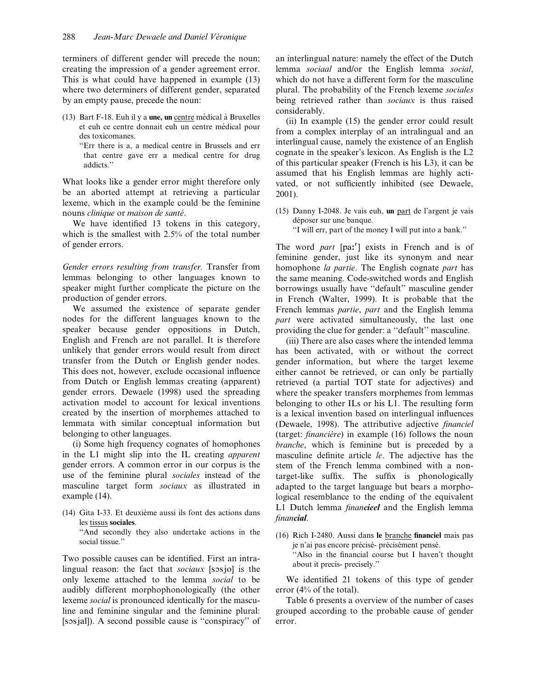terminers of different gender will precede the noun; creating the impression of a gender agreement error. This is what could have happened in example (13) where two determiners of different gender, separated by an empty pause, precede the noun:

- (13) Bart F-18. Euh il y a une, un centre médical à Bruxelles et euh ce centre donnait euh un centre médical pour des toxicomanes.
	- ``Err there is a, a medical centre in Brussels and err that centre gave err a medical centre for drug addicts.''

What looks like a gender error might therefore only be an aborted attempt at retrieving a particular lexeme, which in the example could be the feminine nouns *clinique* or *maison de santé*.

We have identified 13 tokens in this category, which is the smallest with 2.5% of the total number of gender errors.

Gender errors resulting from transfer. Transfer from lemmas belonging to other languages known to speaker might further complicate the picture on the production of gender errors.

We assumed the existence of separate gender nodes for the different languages known to the speaker because gender oppositions in Dutch, English and French are not parallel. It is therefore unlikely that gender errors would result from direct transfer from the Dutch or English gender nodes. This does not, however, exclude occasional influence from Dutch or English lemmas creating (apparent) gender errors. Dewaele (1998) used the spreading activation model to account for lexical inventions created by the insertion of morphemes attached to lemmata with similar conceptual information but belonging to other languages.

(i) Some high frequency cognates of homophones in the L1 might slip into the IL creating apparent gender errors. A common error in our corpus is the use of the feminine plural sociales instead of the masculine target form sociaux as illustrated in example (14).

 $(14)$  Gita I-33. Et deuxième aussi ils font des actions dans les tissus sociales.

``And secondly they also undertake actions in the social tissue.''

Two possible causes can be identified. First an intralingual reason: the fact that  $socialux$  [sosjo] is the only lexeme attached to the lemma social to be audibly different morphophonologically (the other lexeme social is pronounced identically for the masculine and feminine singular and the feminine plural: [sosjal]). A second possible cause is "conspiracy" of an interlingual nature: namely the effect of the Dutch lemma sociaal and/or the English lemma social, which do not have a different form for the masculine plural. The probability of the French lexeme sociales being retrieved rather than sociaux is thus raised considerably.

(ii) In example (15) the gender error could result from a complex interplay of an intralingual and an interlingual cause, namely the existence of an English cognate in the speaker's lexicon. As English is the L2 of this particular speaker (French is his L3), it can be assumed that his English lemmas are highly activated, or not sufficiently inhibited (see Dewaele, 2001).

(15) Danny I-2048. Je vais euh, un part de l'argent je vais déposer sur une banque.

``I will err, part of the money I will put into a bank.''

The word part [pa:<sup>r</sup>] exists in French and is of feminine gender, just like its synonym and near homophone la partie. The English cognate part has the same meaning. Code-switched words and English borrowings usually have "default" masculine gender in French (Walter, 1999). It is probable that the French lemmas partie, part and the English lemma part were activated simultaneously, the last one providing the clue for gender: a "default" masculine.

(iii) There are also cases where the intended lemma has been activated, with or without the correct gender information, but where the target lexeme either cannot be retrieved, or can only be partially retrieved (a partial TOT state for adjectives) and where the speaker transfers morphemes from lemmas belonging to other ILs or his L1. The resulting form is a lexical invention based on interlingual influences (Dewaele, 1998). The attributive adjective *financiel* (target: *financière*) in example  $(16)$  follows the noun branche, which is feminine but is preceded by a masculine definite article le. The adjective has the stem of the French lemma combined with a nontarget-like suffix. The suffix is phonologically adapted to the target language but bears a morphological resemblance to the ending of the equivalent L1 Dutch lemma *financieel* and the English lemma financial.

(16) Rich I-2480. Aussi dans le branche financiel mais pas je n'ai pas encore précisé- précisément pensé. "Also in the financial course but I haven't thought about it precis- precisely.''

We identified 21 tokens of this type of gender error (4% of the total).

Table 6 presents a overview of the number of cases grouped according to the probable cause of gender error.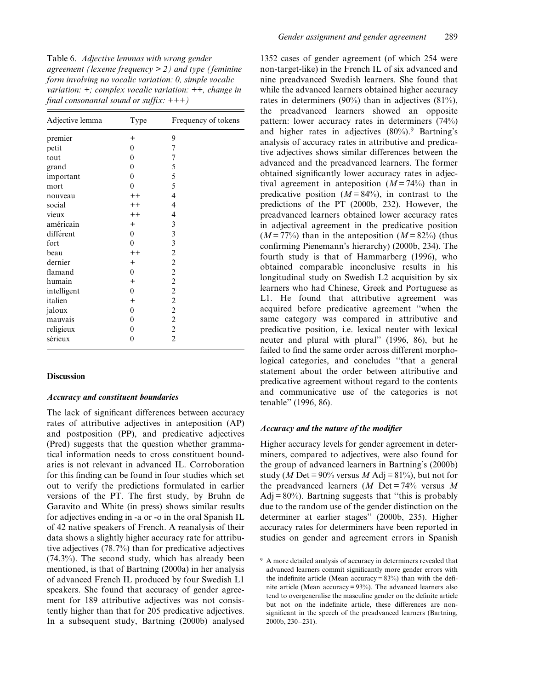Table 6. Adjective lemmas with wrong gender agreement (lexeme frequency  $> 2$ ) and type (feminine form involving no vocalic variation: 0, simple vocalic variation: +; complex vocalic variation: ++, change in final consonantal sound or suffix:  $+++)$ 

| Adjective lemma | Type     | Frequency of tokens |
|-----------------|----------|---------------------|
| premier         | $^{+}$   | 9                   |
| petit           | $\theta$ | 7                   |
| tout            | $\theta$ | 7                   |
| grand           | 0        | 5                   |
| important       | $\theta$ | 5                   |
| mort            | $\theta$ | 5                   |
| nouveau         | $++$     | 4                   |
| social          | $++$     | 4                   |
| vieux           | $++$     | 4                   |
| américain       | $+$      | 3                   |
| différent       | $\theta$ | 3                   |
| fort            | $\theta$ | 3                   |
| beau            | $++$     | $\overline{c}$      |
| dernier         | $+$      | $\overline{c}$      |
| flamand         | $\theta$ | $\overline{c}$      |
| humain          | $+$      | $\overline{c}$      |
| intelligent     | $\theta$ | $\overline{c}$      |
| italien         | $+$      | $\overline{2}$      |
| jaloux          | $\theta$ | $\overline{c}$      |
| mauvais         | 0        | $\overline{c}$      |
| religieux       | $\theta$ | $\overline{c}$      |
| sérieux         | $\theta$ | $\overline{2}$      |

#### **Discussion**

#### Accuracy and constituent boundaries

The lack of significant differences between accuracy rates of attributive adjectives in anteposition (AP) and postposition (PP), and predicative adjectives (Pred) suggests that the question whether grammatical information needs to cross constituent boundaries is not relevant in advanced IL. Corroboration for this finding can be found in four studies which set out to verify the predictions formulated in earlier versions of the PT. The first study, by Bruhn de Garavito and White (in press) shows similar results for adjectives ending in -a or -o in the oral Spanish IL of 42 native speakers of French. A reanalysis of their data shows a slightly higher accuracy rate for attributive adjectives (78.7%) than for predicative adjectives (74.3%). The second study, which has already been mentioned, is that of Bartning (2000a) in her analysis of advanced French IL produced by four Swedish L1 speakers. She found that accuracy of gender agreement for 189 attributive adjectives was not consistently higher than that for 205 predicative adjectives. In a subsequent study, Bartning (2000b) analysed

1352 cases of gender agreement (of which 254 were non-target-like) in the French IL of six advanced and nine preadvanced Swedish learners. She found that while the advanced learners obtained higher accuracy rates in determiners (90%) than in adjectives (81%), the preadvanced learners showed an opposite pattern: lower accuracy rates in determiners (74%) and higher rates in adjectives  $(80\%)$ .<sup>9</sup> Bartning's analysis of accuracy rates in attributive and predicative adjectives shows similar differences between the advanced and the preadvanced learners. The former obtained significantly lower accuracy rates in adjectival agreement in anteposition  $(M = 74\%)$  than in predicative position  $(M = 84\%)$ , in contrast to the predictions of the PT (2000b, 232). However, the preadvanced learners obtained lower accuracy rates in adjectival agreement in the predicative position  $(M = 77\%)$  than in the anteposition  $(M = 82\%)$  (thus confirming Pienemann's hierarchy) (2000b, 234). The fourth study is that of Hammarberg (1996), who obtained comparable inconclusive results in his longitudinal study on Swedish L2 acquisition by six learners who had Chinese, Greek and Portuguese as L1. He found that attributive agreement was acquired before predicative agreement "when the same category was compared in attributive and predicative position, i.e. lexical neuter with lexical neuter and plural with plural'' (1996, 86), but he failed to find the same order across different morphological categories, and concludes "that a general statement about the order between attributive and predicative agreement without regard to the contents and communicative use of the categories is not tenable'' (1996, 86).

#### Accuracy and the nature of the modifier

Higher accuracy levels for gender agreement in determiners, compared to adjectives, were also found for the group of advanced learners in Bartning's (2000b) study (M Det =  $90\%$  versus M Adj =  $81\%$ ), but not for the preadvanced learners (*M* Det =  $74\%$  versus *M*  $Adj = 80\%$ ). Bartning suggests that "this is probably due to the random use of the gender distinction on the determiner at earlier stages'' (2000b, 235). Higher accuracy rates for determiners have been reported in studies on gender and agreement errors in Spanish

<sup>9</sup> A more detailed analysis of accuracy in determiners revealed that advanced learners commit significantly more gender errors with the indefinite article (Mean accuracy =  $83\%$ ) than with the definite article (Mean accuracy = 93%). The advanced learners also tend to overgeneralise the masculine gender on the definite article but not on the indefinite article, these differences are nonsignificant in the speech of the preadvanced learners (Bartning, 2000b, 230-231).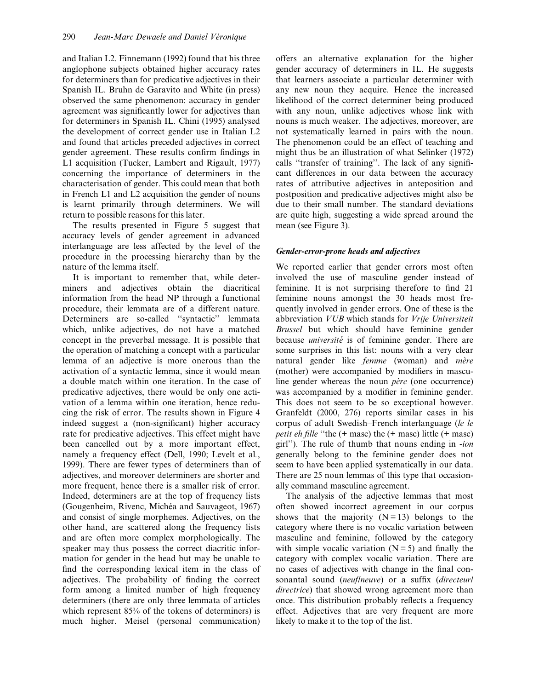and Italian L2. Finnemann (1992) found that his three anglophone subjects obtained higher accuracy rates for determiners than for predicative adjectives in their Spanish IL. Bruhn de Garavito and White (in press) observed the same phenomenon: accuracy in gender agreement was significantly lower for adjectives than for determiners in Spanish IL. Chini (1995) analysed the development of correct gender use in Italian L2 and found that articles preceded adjectives in correct gender agreement. These results confirm findings in L1 acquisition (Tucker, Lambert and Rigault, 1977) concerning the importance of determiners in the characterisation of gender. This could mean that both in French L1 and L2 acquisition the gender of nouns is learnt primarily through determiners. We will return to possible reasons for this later.

The results presented in Figure 5 suggest that accuracy levels of gender agreement in advanced interlanguage are less affected by the level of the procedure in the processing hierarchy than by the nature of the lemma itself.

It is important to remember that, while determiners and adjectives obtain the diacritical information from the head NP through a functional procedure, their lemmata are of a different nature. Determiners are so-called "syntactic" lemmata which, unlike adjectives, do not have a matched concept in the preverbal message. It is possible that the operation of matching a concept with a particular lemma of an adjective is more onerous than the activation of a syntactic lemma, since it would mean a double match within one iteration. In the case of predicative adjectives, there would be only one activation of a lemma within one iteration, hence reducing the risk of error. The results shown in Figure 4 indeed suggest a (non-significant) higher accuracy rate for predicative adjectives. This effect might have been cancelled out by a more important effect, namely a frequency effect (Dell, 1990; Levelt et al., 1999). There are fewer types of determiners than of adjectives, and moreover determiners are shorter and more frequent, hence there is a smaller risk of error. Indeed, determiners are at the top of frequency lists (Gougenheim, Rivenc, Michéa and Sauvageot, 1967) and consist of single morphemes. Adjectives, on the other hand, are scattered along the frequency lists and are often more complex morphologically. The speaker may thus possess the correct diacritic information for gender in the head but may be unable to find the corresponding lexical item in the class of adjectives. The probability of finding the correct form among a limited number of high frequency determiners (there are only three lemmata of articles which represent 85% of the tokens of determiners) is much higher. Meisel (personal communication) offers an alternative explanation for the higher gender accuracy of determiners in IL. He suggests that learners associate a particular determiner with any new noun they acquire. Hence the increased likelihood of the correct determiner being produced with any noun, unlike adjectives whose link with nouns is much weaker. The adjectives, moreover, are not systematically learned in pairs with the noun. The phenomenon could be an effect of teaching and might thus be an illustration of what Selinker (1972) calls "transfer of training". The lack of any significant differences in our data between the accuracy rates of attributive adjectives in anteposition and postposition and predicative adjectives might also be due to their small number. The standard deviations are quite high, suggesting a wide spread around the mean (see Figure 3).

## Gender-error-prone heads and adjectives

We reported earlier that gender errors most often involved the use of masculine gender instead of feminine. It is not surprising therefore to find 21 feminine nouns amongst the 30 heads most frequently involved in gender errors. One of these is the abbreviation VUB which stands for Vrije Universiteit Brussel but which should have feminine gender because *université* is of feminine gender. There are some surprises in this list: nouns with a very clear natural gender like *femme* (woman) and *mère* (mother) were accompanied by modifiers in masculine gender whereas the noun  $\vec{p}$  (one occurrence) was accompanied by a modifier in feminine gender. This does not seem to be so exceptional however. Granfeldt (2000, 276) reports similar cases in his corpus of adult Swedish-French interlanguage (le le petit eh fille "the  $(+)$  masc) the  $(+)$  masc) little  $(+)$  masc) girl''). The rule of thumb that nouns ending in -ion generally belong to the feminine gender does not seem to have been applied systematically in our data. There are 25 noun lemmas of this type that occasionally command masculine agreement.

The analysis of the adjective lemmas that most often showed incorrect agreement in our corpus shows that the majority  $(N = 13)$  belongs to the category where there is no vocalic variation between masculine and feminine, followed by the category with simple vocalic variation  $(N = 5)$  and finally the category with complex vocalic variation. There are no cases of adjectives with change in the final consonantal sound (neuflneuve) or a suffix (directeur) directrice) that showed wrong agreement more than once. This distribution probably reflects a frequency effect. Adjectives that are very frequent are more likely to make it to the top of the list.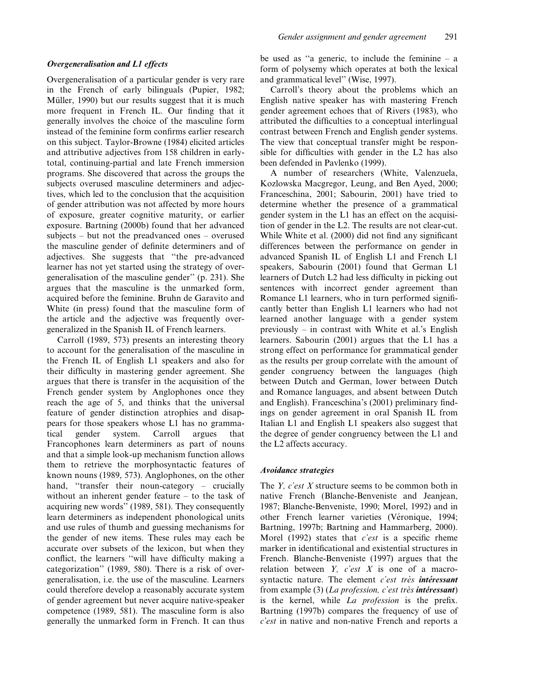Overgeneralisation of a particular gender is very rare in the French of early bilinguals (Pupier, 1982; Müller, 1990) but our results suggest that it is much more frequent in French IL. Our finding that it generally involves the choice of the masculine form instead of the feminine form confirms earlier research on this subject. Taylor-Browne (1984) elicited articles and attributive adjectives from 158 children in earlytotal, continuing-partial and late French immersion programs. She discovered that across the groups the subjects overused masculine determiners and adjectives, which led to the conclusion that the acquisition of gender attribution was not affected by more hours of exposure, greater cognitive maturity, or earlier exposure. Bartning (2000b) found that her advanced subjects  $-$  but not the preadvanced ones  $-$  overused the masculine gender of definite determiners and of adjectives. She suggests that "the pre-advanced learner has not yet started using the strategy of overgeneralisation of the masculine gender'' (p. 231). She argues that the masculine is the unmarked form, acquired before the feminine. Bruhn de Garavito and White (in press) found that the masculine form of the article and the adjective was frequently overgeneralized in the Spanish IL of French learners.

Carroll (1989, 573) presents an interesting theory to account for the generalisation of the masculine in the French IL of English L1 speakers and also for their difficulty in mastering gender agreement. She argues that there is transfer in the acquisition of the French gender system by Anglophones once they reach the age of 5, and thinks that the universal feature of gender distinction atrophies and disappears for those speakers whose L1 has no grammatical gender system. Carroll argues that Francophones learn determiners as part of nouns and that a simple look-up mechanism function allows them to retrieve the morphosyntactic features of known nouns (1989, 573). Anglophones, on the other hand, "transfer their noun-category  $-$  crucially without an inherent gender feature  $-$  to the task of acquiring new words'' (1989, 581). They consequently learn determiners as independent phonological units and use rules of thumb and guessing mechanisms for the gender of new items. These rules may each be accurate over subsets of the lexicon, but when they conflict, the learners "will have difficulty making a categorization'' (1989, 580). There is a risk of overgeneralisation, i.e. the use of the masculine. Learners could therefore develop a reasonably accurate system of gender agreement but never acquire native-speaker competence (1989, 581). The masculine form is also generally the unmarked form in French. It can thus be used as "a generic, to include the feminine  $-\alpha$ form of polysemy which operates at both the lexical and grammatical level'' (Wise, 1997).

Carroll's theory about the problems which an English native speaker has with mastering French gender agreement echoes that of Rivers (1983), who attributed the difficulties to a conceptual interlingual contrast between French and English gender systems. The view that conceptual transfer might be responsible for difficulties with gender in the L2 has also been defended in Pavlenko (1999).

A number of researchers (White, Valenzuela, Kozlowska Macgregor, Leung, and Ben Ayed, 2000; Franceschina, 2001; Sabourin, 2001) have tried to determine whether the presence of a grammatical gender system in the L1 has an effect on the acquisition of gender in the L2. The results are not clear-cut. While White et al. (2000) did not find any significant differences between the performance on gender in advanced Spanish IL of English L1 and French L1 speakers, Sabourin (2001) found that German L1 learners of Dutch L2 had less difficulty in picking out sentences with incorrect gender agreement than Romance L1 learners, who in turn performed significantly better than English L1 learners who had not learned another language with a gender system previously  $-$  in contrast with White et al.'s English learners. Sabourin (2001) argues that the L1 has a strong effect on performance for grammatical gender as the results per group correlate with the amount of gender congruency between the languages (high between Dutch and German, lower between Dutch and Romance languages, and absent between Dutch and English). Franceschina's (2001) preliminary findings on gender agreement in oral Spanish IL from Italian L1 and English L1 speakers also suggest that the degree of gender congruency between the L1 and the L2 affects accuracy.

## Avoidance strategies

The *Y*, *c'est X* structure seems to be common both in native French (Blanche-Benveniste and Jeanjean, 1987; Blanche-Benveniste, 1990; Morel, 1992) and in other French learner varieties (Véronique, 1994; Bartning, 1997b; Bartning and Hammarberg, 2000). Morel (1992) states that *c'est* is a specific rheme marker in identificational and existential structures in French. Blanche-Benveniste (1997) argues that the relation between  $Y$ , c'est  $X$  is one of a macrosyntactic nature. The element  $c'est$  très intéressant from example (3) (La profession, c'est très intéressant) is the kernel, while *La profession* is the prefix. Bartning (1997b) compares the frequency of use of c'est in native and non-native French and reports a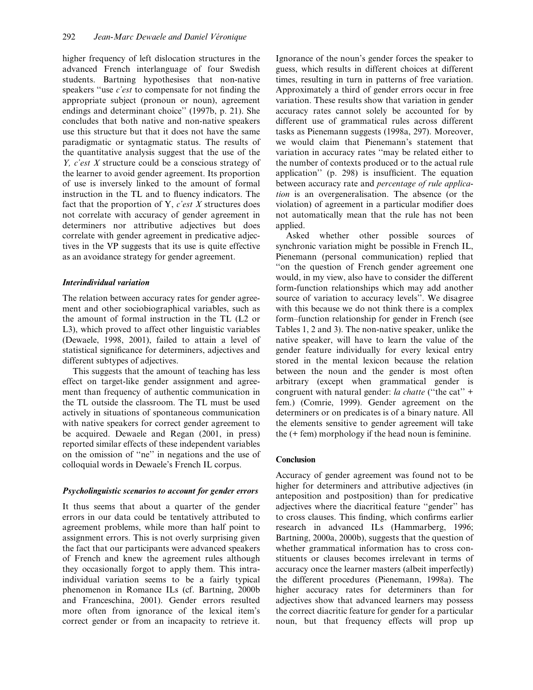higher frequency of left dislocation structures in the advanced French interlanguage of four Swedish students. Bartning hypothesises that non-native speakers "use  $c$ 'est to compensate for not finding the appropriate subject (pronoun or noun), agreement endings and determinant choice'' (1997b, p. 21). She concludes that both native and non-native speakers use this structure but that it does not have the same paradigmatic or syntagmatic status. The results of the quantitative analysis suggest that the use of the Y, c'est X structure could be a conscious strategy of the learner to avoid gender agreement. Its proportion of use is inversely linked to the amount of formal instruction in the TL and to fluency indicators. The fact that the proportion of Y,  $c'est X$  structures does not correlate with accuracy of gender agreement in determiners nor attributive adjectives but does correlate with gender agreement in predicative adjectives in the VP suggests that its use is quite effective as an avoidance strategy for gender agreement.

## Interindividual variation

The relation between accuracy rates for gender agreement and other sociobiographical variables, such as the amount of formal instruction in the TL (L2 or L3), which proved to affect other linguistic variables (Dewaele, 1998, 2001), failed to attain a level of statistical significance for determiners, adjectives and different subtypes of adjectives.

This suggests that the amount of teaching has less effect on target-like gender assignment and agreement than frequency of authentic communication in the TL outside the classroom. The TL must be used actively in situations of spontaneous communication with native speakers for correct gender agreement to be acquired. Dewaele and Regan (2001, in press) reported similar effects of these independent variables on the omission of "ne" in negations and the use of colloquial words in Dewaele's French IL corpus.

## Psycholinguistic scenarios to account for gender errors

It thus seems that about a quarter of the gender errors in our data could be tentatively attributed to agreement problems, while more than half point to assignment errors. This is not overly surprising given the fact that our participants were advanced speakers of French and knew the agreement rules although they occasionally forgot to apply them. This intraindividual variation seems to be a fairly typical phenomenon in Romance ILs (cf. Bartning, 2000b and Franceschina, 2001). Gender errors resulted more often from ignorance of the lexical item's correct gender or from an incapacity to retrieve it.

Ignorance of the noun's gender forces the speaker to guess, which results in different choices at different times, resulting in turn in patterns of free variation. Approximately a third of gender errors occur in free variation. These results show that variation in gender accuracy rates cannot solely be accounted for by different use of grammatical rules across different tasks as Pienemann suggests (1998a, 297). Moreover, we would claim that Pienemann's statement that variation in accuracy rates "may be related either to the number of contexts produced or to the actual rule application"  $(p. 298)$  is insufficient. The equation between accuracy rate and percentage of rule application is an overgeneralisation. The absence (or the violation) of agreement in a particular modifier does not automatically mean that the rule has not been applied.

Asked whether other possible sources of synchronic variation might be possible in French IL, Pienemann (personal communication) replied that ``on the question of French gender agreement one would, in my view, also have to consider the different form-function relationships which may add another source of variation to accuracy levels''. We disagree with this because we do not think there is a complex form-function relationship for gender in French (see Tables 1, 2 and 3). The non-native speaker, unlike the native speaker, will have to learn the value of the gender feature individually for every lexical entry stored in the mental lexicon because the relation between the noun and the gender is most often arbitrary (except when grammatical gender is congruent with natural gender: la chatte ("the cat" + fem.) (Comrie, 1999). Gender agreement on the determiners or on predicates is of a binary nature. All the elements sensitive to gender agreement will take the (+ fem) morphology if the head noun is feminine.

## Conclusion

Accuracy of gender agreement was found not to be higher for determiners and attributive adjectives (in anteposition and postposition) than for predicative adjectives where the diacritical feature "gender" has to cross clauses. This finding, which confirms earlier research in advanced ILs (Hammarberg, 1996; Bartning, 2000a, 2000b), suggests that the question of whether grammatical information has to cross constituents or clauses becomes irrelevant in terms of accuracy once the learner masters (albeit imperfectly) the different procedures (Pienemann, 1998a). The higher accuracy rates for determiners than for adjectives show that advanced learners may possess the correct diacritic feature for gender for a particular noun, but that frequency effects will prop up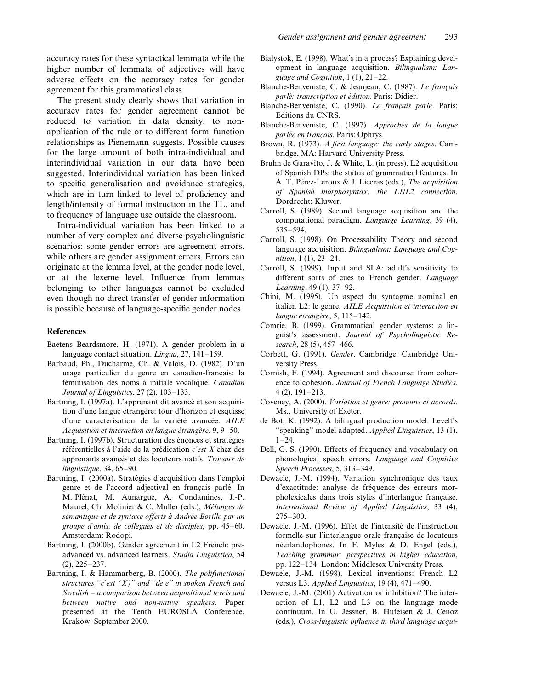accuracy rates for these syntactical lemmata while the higher number of lemmata of adjectives will have adverse effects on the accuracy rates for gender agreement for this grammatical class.

The present study clearly shows that variation in accuracy rates for gender agreement cannot be reduced to variation in data density, to nonapplication of the rule or to different form-function relationships as Pienemann suggests. Possible causes for the large amount of both intra-individual and interindividual variation in our data have been suggested. Interindividual variation has been linked to specific generalisation and avoidance strategies, which are in turn linked to level of proficiency and length/intensity of formal instruction in the TL, and to frequency of language use outside the classroom.

Intra-individual variation has been linked to a number of very complex and diverse psycholinguistic scenarios: some gender errors are agreement errors, while others are gender assignment errors. Errors can originate at the lemma level, at the gender node level, or at the lexeme level. Influence from lemmas belonging to other languages cannot be excluded even though no direct transfer of gender information is possible because of language-specific gender nodes.

## References

- Baetens Beardsmore, H. (1971). A gender problem in a language contact situation. Lingua,  $27$ ,  $141-159$ .
- Barbaud, Ph., Ducharme, Ch. & Valois, D. (1982). D'un usage particulier du genre en canadien-français: la féminisation des noms à initiale vocalique. Canadian Journal of Linguistics,  $27(2)$ ,  $103-133$ .
- Bartning, I. (1997a). L'apprenant dit avancé et son acquisition d'une langue étrangère: tour d'horizon et esquisse d'une caractérisation de la variété avancée. AILE Acquisition et interaction en langue étrangère,  $9, 9-50$ .
- Bartning, I. (1997b). Structuration des énoncés et stratégies référentielles à l'aide de la prédication  $c'est X$  chez des apprenants avancés et des locuteurs natifs. Travaux de  $linguistique$ , 34, 65-90.
- Bartning, I. (2000a). Stratégies d'acquisition dans l'emploi genre et de l'accord adjectival en français parlé. In M. Plénat, M. Aunargue, A. Condamines, J.-P. Maurel, Ch. Molinier & C. Muller (eds.), Mélanges de sémantique et de syntaxe offerts à Andrée Borillo par un groupe d'amis, de collègues et de disciples, pp.  $45-60$ . Amsterdam: Rodopi.
- Bartning, I. (2000b). Gender agreement in L2 French: preadvanced vs. advanced learners. Studia Linguistica, 54  $(2)$ ,  $225-237$ .
- Bartning, I. & Hammarberg, B. (2000). The polifunctional structures "c'est  $(X)$ " and "de e" in spoken French and Swedish  $-$  a comparison between acquisitional levels and between native and non-native speakers. Paper presented at the Tenth EUROSLA Conference, Krakow, September 2000.
- Bialystok, E. (1998). What's in a process? Explaining development in language acquisition. Bilingualism: Language and Cognition,  $1(1)$ ,  $21-22$ .
- Blanche-Benveniste, C. & Jeanjean, C. (1987). Le français parlé: transcription et édition. Paris: Didier.
- Blanche-Benveniste, C. (1990). Le français parlé. Paris: Editions du CNRS.
- Blanche-Benveniste, C. (1997). Approches de la langue parlée en français. Paris: Ophrys.
- Brown, R. (1973). A first language: the early stages. Cambridge, MA: Harvard University Press.
- Bruhn de Garavito, J. & White, L. (in press). L2 acquisition of Spanish DPs: the status of grammatical features. In A. T. Pérez-Leroux & J. Liceras (eds.), The acquisition of Spanish morphosyntax: the L1/L2 connection. Dordrecht: Kluwer.
- Carroll, S. (1989). Second language acquisition and the computational paradigm. Language Learning, 39 (4), 535±594.
- Carroll, S. (1998). On Processability Theory and second language acquisition. Bilingualism: Language and Cog $nition, 1 (1), 23-24.$
- Carroll, S. (1999). Input and SLA: adult's sensitivity to different sorts of cues to French gender. Language Learning, 49 (1), 37-92.
- Chini, M. (1995). Un aspect du syntagme nominal en italien L2: le genre. AILE Acquisition et interaction en langue étrangère, 5,  $115-142$ .
- Comrie, B. (1999). Grammatical gender systems: a linguist's assessment. Journal of Psycholinguistic Research, 28 (5), 457-466.
- Corbett, G. (1991). Gender. Cambridge: Cambridge University Press.
- Cornish, F. (1994). Agreement and discourse: from coherence to cohesion. Journal of French Language Studies,  $4(2)$ ,  $191-213$ .
- Coveney, A. (2000). Variation et genre: pronoms et accords. Ms., University of Exeter.
- de Bot, K. (1992). A bilingual production model: Levelt's "speaking" model adapted. Applied Linguistics, 13 (1),  $1 - 24$
- Dell, G. S. (1990). Effects of frequency and vocabulary on phonological speech errors. Language and Cognitive Speech Processes,  $5, 313-349$ .
- Dewaele, J.-M. (1994). Variation synchronique des taux d'exactitude: analyse de fréquence des erreurs morpholexicales dans trois styles d'interlangue française. International Review of Applied Linguistics, 33 (4), 275±300.
- Dewaele, J.-M. (1996). Effet de l'intensité de l'instruction formelle sur l'interlangue orale française de locuteurs néerlandophones. In F. Myles & D. Engel (eds.), Teaching grammar: perspectives in higher education, pp. 122-134. London: Middlesex University Press.
- Dewaele, J.-M. (1998). Lexical inventions: French L2 versus L3. Applied Linguistics,  $19(4)$ ,  $471-490$ .
- Dewaele, J.-M. (2001) Activation or inhibition? The interaction of L1, L2 and L3 on the language mode continuum. In U. Jessner, B. Hufeisen & J. Cenoz (eds.), Cross-linguistic influence in third language acqui-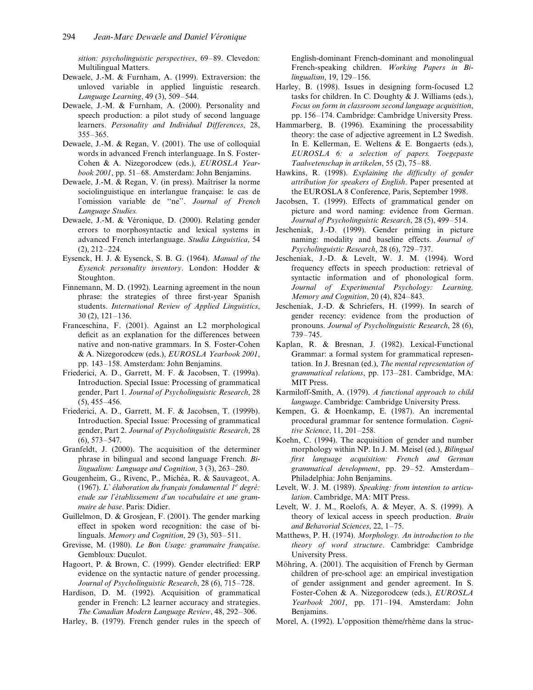sition: psycholinguistic perspectives, 69-89. Clevedon: Multilingual Matters.

- Dewaele, J.-M. & Furnham, A. (1999). Extraversion: the unloved variable in applied linguistic research. Language Learning, 49 (3), 509-544.
- Dewaele, J.-M. & Furnham, A. (2000). Personality and speech production: a pilot study of second language learners. Personality and Individual Differences, 28, 355±365.
- Dewaele, J.-M. & Regan, V. (2001). The use of colloquial words in advanced French interlanguage. In S. Foster-Cohen & A. Nizegorodcew (eds.), EUROSLA Year $book 2001$ , pp. 51–68. Amsterdam: John Benjamins.
- Dewaele, J.-M. & Regan, V. (in press). Maîtriser la norme sociolinguistique en interlangue française: le cas de l'omission variable de "ne". Journal of French Language Studies.
- Dewaele, J.-M. & Véronique, D. (2000). Relating gender errors to morphosyntactic and lexical systems in advanced French interlanguage. Studia Linguistica, 54  $(2), 212-224.$
- Eysenck, H. J. & Eysenck, S. B. G. (1964). Manual of the Eysenck personality inventory. London: Hodder & Stoughton.
- Finnemann, M. D. (1992). Learning agreement in the noun phrase: the strategies of three first-year Spanish students. International Review of Applied Linguistics,  $30(2)$ ,  $121-136$ .
- Franceschina, F. (2001). Against an L2 morphological deficit as an explanation for the differences between native and non-native grammars. In S. Foster-Cohen & A. Nizegorodcew (eds.), EUROSLA Yearbook 2001, pp. 143–158. Amsterdam: John Benjamins.
- Friederici, A. D., Garrett, M. F. & Jacobsen, T. (1999a). Introduction. Special Issue: Processing of grammatical gender, Part 1. Journal of Psycholinguistic Research, 28  $(5)$ , 455 $-456$ .
- Friederici, A. D., Garrett, M. F. & Jacobsen, T. (1999b). Introduction. Special Issue: Processing of grammatical gender, Part 2. Journal of Psycholinguistic Research, 28  $(6)$ , 573-547.
- Granfeldt, J. (2000). The acquisition of the determiner phrase in bilingual and second language French. Bilingualism: Language and Cognition,  $3(3)$ ,  $263-280$ .
- Gougenheim, G., Rivenc, P., Michéa, R. & Sauvageot, A. (1967). L' élaboration du français fondamental  $1^e$  degré: etude sur l'établissement d'un vocabulaire et une grammaire de base. Paris: Didier.
- Guillelmon, D. & Grosjean, F. (2001). The gender marking effect in spoken word recognition: the case of bilinguals. Memory and Cognition,  $29(3)$ ,  $503-511$ .
- Grevisse, M. (1980). Le Bon Usage: grammaire française. Gembloux: Duculot.
- Hagoort, P. & Brown, C. (1999). Gender electrified: ERP evidence on the syntactic nature of gender processing. Journal of Psycholinguistic Research, 28 (6), 715-728.
- Hardison, D. M. (1992). Acquisition of grammatical gender in French: L2 learner accuracy and strategies. The Canadian Modern Language Review, 48, 292-306.

Harley, B. (1979). French gender rules in the speech of

English-dominant French-dominant and monolingual French-speaking children. Working Papers in Bilingualism, 19, 129-156.

- Harley, B. (1998). Issues in designing form-focused L2 tasks for children. In C. Doughty & J. Williams (eds.), Focus on form in classroom second language acquisition, pp. 156-174. Cambridge: Cambridge University Press.
- Hammarberg, B. (1996). Examining the processability theory: the case of adjective agreement in L2 Swedish. In E. Kellerman, E. Weltens & E. Bongaerts (eds.), EUROSLA 6: a selection of papers. Toegepaste Taalwetenschap in artikelen, 55 $(2)$ , 75-88.
- Hawkins, R. (1998). Explaining the difficulty of gender attribution for speakers of English. Paper presented at the EUROSLA 8 Conference, Paris, September 1998.
- Jacobsen, T. (1999). Effects of grammatical gender on picture and word naming: evidence from German. Journal of Psycholinguistic Research, 28 (5), 499-514.
- Jescheniak, J.-D. (1999). Gender priming in picture naming: modality and baseline effects. Journal of Psycholinguistic Research, 28 (6), 729-737.
- Jescheniak, J.-D. & Levelt, W. J. M. (1994). Word frequency effects in speech production: retrieval of syntactic information and of phonological form. Journal of Experimental Psychology: Learning, Memory and Cognition,  $20(4)$ ,  $824-843$ .
- Jescheniak, J.-D. & Schriefers, H. (1999). In search of gender recency: evidence from the production of pronouns. Journal of Psycholinguistic Research, 28 (6), 739±745.
- Kaplan, R. & Bresnan, J. (1982). Lexical-Functional Grammar: a formal system for grammatical representation. In J. Bresnan (ed.), The mental representation of grammatical relations, pp. 173-281. Cambridge, MA: MIT Press.
- Karmiloff-Smith, A. (1979). A functional approach to child language. Cambridge: Cambridge University Press.
- Kempen, G. & Hoenkamp, E. (1987). An incremental procedural grammar for sentence formulation. Cognitive Science,  $11, 201-258$ .
- Koehn, C. (1994). The acquisition of gender and number morphology within NP. In J. M. Meisel (ed.), Bilingual first language acquisition: French and German grammatical development, pp. 29-52. Amsterdam-Philadelphia: John Benjamins.
- Levelt, W. J. M. (1989). Speaking: from intention to articulation. Cambridge, MA: MIT Press.
- Levelt, W. J. M., Roelofs, A. & Meyer, A. S. (1999). A theory of lexical access in speech production. Brain and Behavorial Sciences,  $22$ ,  $1-75$ .
- Matthews, P. H. (1974). Morphology. An introduction to the theory of word structure. Cambridge: Cambridge University Press.
- Möhring, A. (2001). The acquisition of French by German children of pre-school age: an empirical investigation of gender assignment and gender agreement. In S. Foster-Cohen & A. Nizegorodcew (eds.), EUROSLA Yearbook 2001, pp. 171-194. Amsterdam: John Benjamins.
- Morel, A. (1992). L'opposition thème/rhème dans la struc-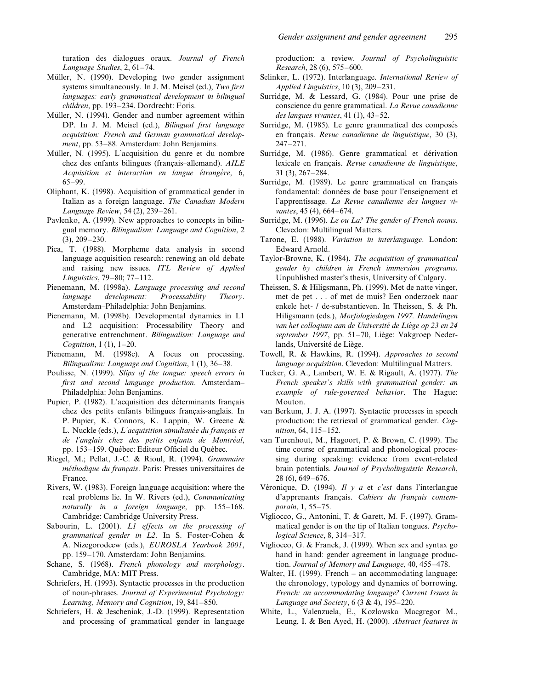turation des dialogues oraux. Journal of French Language Studies,  $2, 61-74$ .

- Müller, N. (1990). Developing two gender assignment systems simultaneously. In J. M. Meisel (ed.), Two first languages: early grammatical development in bilingual children, pp. 193-234. Dordrecht: Foris.
- Müller, N. (1994). Gender and number agreement within DP. In J. M. Meisel (ed.), Bilingual first language acquisition: French and German grammatical development, pp. 53–88. Amsterdam: John Benjamins.
- Müller, N. (1995). L'acquisition du genre et du nombre chez des enfants bilingues (français-allemand).  $AILE$  $Acquisition$  et interaction en langue étrangère, 6, 65±99.
- Oliphant, K. (1998). Acquisition of grammatical gender in Italian as a foreign language. The Canadian Modern Language Review, 54 (2), 239-261.
- Pavlenko, A. (1999). New approaches to concepts in bilingual memory. Bilingualism: Language and Cognition, 2  $(3), 209-230.$
- Pica, T. (1988). Morpheme data analysis in second language acquisition research: renewing an old debate and raising new issues. ITL Review of Applied Linguistics, 79-80; 77-112.
- Pienemann, M. (1998a). Language processing and second language development: Processability Theory. Amsterdam±Philadelphia: John Benjamins.
- Pienemann, M. (1998b). Developmental dynamics in L1 and L2 acquisition: Processability Theory and generative entrenchment. Bilingualism: Language and Cognition,  $1(1)$ ,  $1-20$ .
- Pienemann, M. (1998c). A focus on processing. Bilingualism: Language and Cognition,  $1(1)$ ,  $36-38$ .
- Poulisse, N. (1999). Slips of the tongue: speech errors in first and second language production. Amsterdam-Philadelphia: John Benjamins.
- Pupier, P. (1982). L'acquisition des déterminants français chez des petits enfants bilingues français-anglais. In P. Pupier, K. Connors, K. Lappin, W. Greene & L. Nuckle (eds.), L'acquisition simultanée du français et de l'anglais chez des petits enfants de Montréal, pp. 153-159. Québec: Editeur Officiel du Québec.
- Riegel, M.; Pellat, J.-C. & Rioul, R. (1994). Grammaire méthodique du français. Paris: Presses universitaires de France.
- Rivers, W. (1983). Foreign language acquisition: where the real problems lie. In W. Rivers (ed.), Communicating naturally in a foreign language, pp. 155-168. Cambridge: Cambridge University Press.
- Sabourin, L. (2001). L1 effects on the processing of grammatical gender in L2. In S. Foster-Cohen & A. Nizegorodcew (eds.), EUROSLA Yearbook 2001, pp. 159-170. Amsterdam: John Benjamins.
- Schane, S. (1968). French phonology and morphology. Cambridge, MA: MIT Press.
- Schriefers, H. (1993). Syntactic processes in the production of noun-phrases. Journal of Experimental Psychology: Learning, Memory and Cognition, 19, 841-850.
- Schriefers, H. & Jescheniak, J.-D. (1999). Representation and processing of grammatical gender in language

production: a review. Journal of Psycholinguistic Research, 28 (6), 575-600.

- Selinker, L. (1972). Interlanguage. International Review of Applied Linguistics,  $10(3)$ ,  $209-231$ .
- Surridge, M. & Lessard, G. (1984). Pour une prise de conscience du genre grammatical. La Revue canadienne des langues vivantes, 41 $(1)$ , 43-52.
- Surridge, M. (1985). Le genre grammatical des composés en français. Revue canadienne de linguistique, 30 (3),  $247 - 271.$
- Surridge, M. (1986). Genre grammatical et dérivation lexicale en français. Revue canadienne de linguistique,  $31$  (3),  $267-284$ .
- Surridge, M. (1989). Le genre grammatical en français fondamental: données de base pour l'enseignement et l'apprentissage. La Revue canadienne des langues vivantes,  $45(4)$ ,  $664-674$ .
- Surridge, M. (1996). Le ou La? The gender of French nouns. Clevedon: Multilingual Matters.
- Tarone, E. (1988). Variation in interlanguage. London: Edward Arnold.
- Taylor-Browne, K. (1984). The acquisition of grammatical gender by children in French immersion programs. Unpublished master's thesis, University of Calgary.
- Theissen, S. & Hiligsmann, Ph. (1999). Met de natte vinger, met de pet . . . of met de muis? Een onderzoek naar enkele het- / de-substantieven. In Theissen, S. & Ph. Hiligsmann (eds.), Morfologiedagen 1997. Handelingen van het colloqium aan de Université de Liège op 23 en 24 september 1997, pp. 51-70, Liège: Vakgroep Nederlands, Université de Liège.
- Towell, R. & Hawkins, R. (1994). Approaches to second language acquisition. Clevedon: Multilingual Matters.
- Tucker, G. A., Lambert, W. E. & Rigault, A. (1977). The French speaker's skills with grammatical gender: an example of rule-governed behavior. The Hague: Mouton.
- van Berkum, J. J. A. (1997). Syntactic processes in speech production: the retrieval of grammatical gender. Cog $nition, 64, 115–152.$
- van Turenhout, M., Hagoort, P. & Brown, C. (1999). The time course of grammatical and phonological processing during speaking: evidence from event-related brain potentials. Journal of Psycholinguistic Research,  $28(6)$ , 649 $-676$ .
- Véronique, D. (1994). Il y a et c'est dans l'interlangue d'apprenants français. Cahiers du français contemporain, 1, 55-75.
- Vigliocco, G., Antonini, T. & Garett, M. F. (1997). Grammatical gender is on the tip of Italian tongues. Psychological Science, 8, 314-317.
- Vigliocco, G. & Franck, J. (1999). When sex and syntax go hand in hand: gender agreement in language production. Journal of Memory and Language, 40, 455-478.
- Walter, H. (1999). French  $-$  an accommodating language: the chronology, typology and dynamics of borrowing. French: an accommodating language? Current Issues in Language and Society,  $6(3 \& 4)$ ,  $195-220$ .
- White, L., Valenzuela, E., Kozlowska Macgregor M., Leung, I. & Ben Ayed, H. (2000). Abstract features in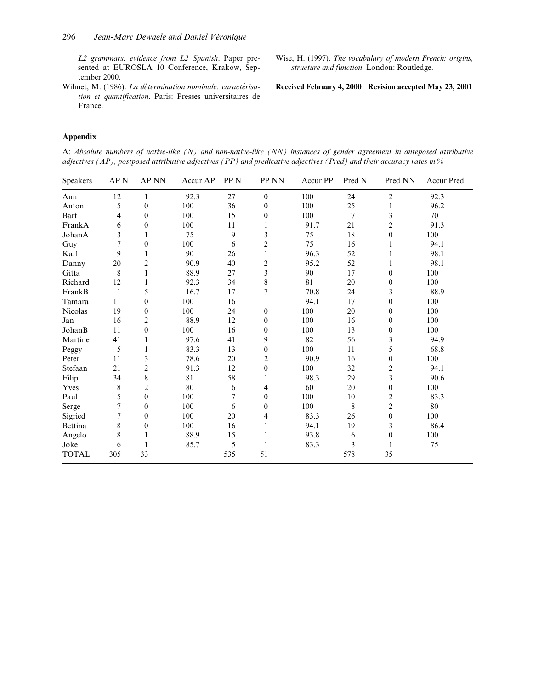L2 grammars: evidence from L2 Spanish. Paper presented at EUROSLA 10 Conference, Krakow, September 2000.

Wilmet, M. (1986). La détermination nominale: caractérisation et quantification. Paris: Presses universitaires de France.

Wise, H. (1997). The vocabulary of modern French: origins, structure and function. London: Routledge.

Received February 4, 2000 Revision accepted May 23, 2001

## Appendix

A: Absolute numbers of native-like (N) and non-native-like (NN) instances of gender agreement in anteposed attributive adjectives (AP), postposed attributive adjectives (PP) and predicative adjectives (Pred) and their accuracy rates in %

| Speakers       | AP <sub>N</sub> | AP NN          | Accur AP | PP <sub>N</sub> | PP NN          | Accur PP | Pred N         | Pred NN        | Accur Pred |
|----------------|-----------------|----------------|----------|-----------------|----------------|----------|----------------|----------------|------------|
| Ann            | 12              | 1              | 92.3     | 27              | $\mathbf{0}$   | 100      | 24             | $\overline{c}$ | 92.3       |
| Anton          | 5               | $\theta$       | 100      | 36              | $\theta$       | 100      | 25             | 1              | 96.2       |
| Bart           | 4               | $\theta$       | 100      | 15              | $\theta$       | 100      | $\overline{7}$ | 3              | 70         |
| FrankA         | 6               | $\theta$       | 100      | 11              | 1              | 91.7     | 21             | $\overline{c}$ | 91.3       |
| JohanA         | 3               | 1              | 75       | 9               | 3              | 75       | 18             | $\theta$       | 100        |
| Guy            | 7               | $\theta$       | 100      | 6               | $\overline{c}$ | 75       | 16             |                | 94.1       |
| Karl           | 9               |                | 90       | 26              | 1              | 96.3     | 52             |                | 98.1       |
| Danny          | 20              | 2              | 90.9     | 40              | $\overline{c}$ | 95.2     | 52             | 1              | 98.1       |
| Gitta          | 8               |                | 88.9     | 27              | 3              | 90       | 17             | $\theta$       | 100        |
| Richard        | 12              | 1              | 92.3     | 34              | 8              | 81       | 20             | $\overline{0}$ | 100        |
| FrankB         | $\mathbf{1}$    | 5              | 16.7     | 17              |                | 70.8     | 24             | 3              | 88.9       |
| Tamara         | 11              | $\theta$       | 100      | 16              | 1              | 94.1     | 17             | $\theta$       | 100        |
| Nicolas        | 19              | $\theta$       | 100      | 24              | $\theta$       | 100      | 20             | $\theta$       | 100        |
| Jan            | 16              | 2              | 88.9     | 12              | $\overline{0}$ | 100      | 16             | $\overline{0}$ | 100        |
| JohanB         | 11              | $\theta$       | 100      | 16              | $\theta$       | 100      | 13             | $\theta$       | 100        |
| Martine        | 41              |                | 97.6     | 41              | 9              | 82       | 56             | 3              | 94.9       |
| Peggy          | 5               | 1              | 83.3     | 13              | $\mathbf{0}$   | 100      | 11             | 5              | 68.8       |
| Peter          | 11              | 3              | 78.6     | 20              | 2              | 90.9     | 16             | $\overline{0}$ | 100        |
| Stefaan        | 21              | $\overline{c}$ | 91.3     | 12              | $\theta$       | 100      | 32             | 2              | 94.1       |
| Filip          | 34              | 8              | 81       | 58              |                | 98.3     | 29             | 3              | 90.6       |
| Yves           | 8               | 2              | 80       | 6               | 4              | 60       | 20             | $\theta$       | 100        |
| Paul           | 5               | $\theta$       | 100      | 7               | $\overline{0}$ | 100      | 10             | 2              | 83.3       |
| Serge          | 7               | $\theta$       | 100      | 6               | $\theta$       | 100      | 8              | $\overline{c}$ | 80         |
| Sigried        | 7               | $\theta$       | 100      | 20              | 4              | 83.3     | 26             | $\overline{0}$ | 100        |
| <b>Bettina</b> | 8               | $\theta$       | 100      | 16              | 1              | 94.1     | 19             | 3              | 86.4       |
| Angelo         | 8               |                | 88.9     | 15              |                | 93.8     | 6              | $\theta$       | 100        |
| Joke           | 6               | 1              | 85.7     | 5               | 1              | 83.3     | $\mathfrak{Z}$ |                | 75         |
| <b>TOTAL</b>   | 305             | 33             |          | 535             | 51             |          | 578            | 35             |            |